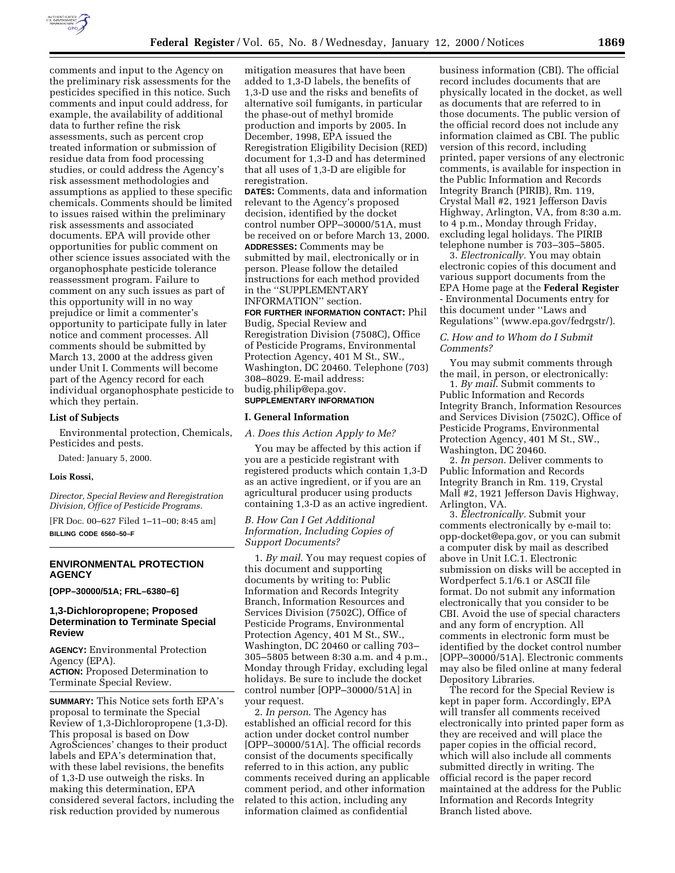

comments and input to the Agency on the preliminary risk assessments for the pesticides specified in this notice. Such comments and input could address, for example, the availability of additional data to further refine the risk assessments, such as percent crop treated information or submission of residue data from food processing studies, or could address the Agency's risk assessment methodologies and assumptions as applied to these specific chemicals. Comments should be limited to issues raised within the preliminary risk assessments and associated documents. EPA will provide other opportunities for public comment on other science issues associated with the organophosphate pesticide tolerance reassessment program. Failure to comment on any such issues as part of this opportunity will in no way prejudice or limit a commenter's opportunity to participate fully in later notice and comment processes. All comments should be submitted by March 13, 2000 at the address given under Unit I. Comments will become part of the Agency record for each individual organophosphate pesticide to which they pertain.

### **List of Subjects**

Environmental protection, Chemicals, Pesticides and pests.

Dated: January 5, 2000.

### **Lois Rossi,**

*Director, Special Review and Reregistration Division, Office of Pesticide Programs.*

[FR Doc. 00–627 Filed 1–11–00; 8:45 am] **BILLING CODE 6560–50–F**

## **ENVIRONMENTAL PROTECTION AGENCY**

### **[OPP–30000/51A; FRL–6380–6]**

## **1,3-Dichloropropene; Proposed Determination to Terminate Special Review**

**AGENCY:** Environmental Protection Agency (EPA). **ACTION:** Proposed Determination to Terminate Special Review.

**SUMMARY:** This Notice sets forth EPA's proposal to terminate the Special Review of 1,3-Dichloropropene (1,3-D). This proposal is based on Dow AgroSciences' changes to their product labels and EPA's determination that, with these label revisions, the benefits of 1,3-D use outweigh the risks. In making this determination, EPA considered several factors, including the risk reduction provided by numerous

mitigation measures that have been added to 1,3-D labels, the benefits of 1,3-D use and the risks and benefits of alternative soil fumigants, in particular the phase-out of methyl bromide production and imports by 2005. In December, 1998, EPA issued the Reregistration Eligibility Decision (RED) document for 1,3-D and has determined that all uses of 1,3-D are eligible for reregistration.

**DATES:** Comments, data and information relevant to the Agency's proposed decision, identified by the docket control number OPP–30000/51A, must be received on or before March 13, 2000. **ADDRESSES:** Comments may be submitted by mail, electronically or in person. Please follow the detailed instructions for each method provided in the ''SUPPLEMENTARY INFORMATION'' section.

### **FOR FURTHER INFORMATION CONTACT:** Phil Budig, Special Review and

Reregistration Division (7508C), Office of Pesticide Programs, Environmental Protection Agency, 401 M St., SW., Washington, DC 20460. Telephone (703) 308–8029. E-mail address: budig.philip@epa.gov. **SUPPLEMENTARY INFORMATION**

## **I. General Information**

*A. Does this Action Apply to Me?*

You may be affected by this action if you are a pesticide registrant with registered products which contain 1,3-D as an active ingredient, or if you are an agricultural producer using products containing 1,3-D as an active ingredient.

### *B. How Can I Get Additional Information, Including Copies of Support Documents?*

1. *By mail*. You may request copies of this document and supporting documents by writing to: Public Information and Records Integrity Branch, Information Resources and Services Division (7502C), Office of Pesticide Programs, Environmental Protection Agency, 401 M St., SW., Washington, DC 20460 or calling 703– 305–5805 between 8:30 a.m. and 4 p.m., Monday through Friday, excluding legal holidays. Be sure to include the docket control number [OPP–30000/51A] in your request.

2. *In person*. The Agency has established an official record for this action under docket control number [OPP–30000/51A]. The official records consist of the documents specifically referred to in this action, any public comments received during an applicable comment period, and other information related to this action, including any information claimed as confidential

business information (CBI). The official record includes documents that are physically located in the docket, as well as documents that are referred to in those documents. The public version of the official record does not include any information claimed as CBI. The public version of this record, including printed, paper versions of any electronic comments, is available for inspection in the Public Information and Records Integrity Branch (PIRIB), Rm. 119, Crystal Mall #2, 1921 Jefferson Davis Highway, Arlington, VA, from 8:30 a.m. to 4 p.m., Monday through Friday, excluding legal holidays. The PIRIB telephone number is 703–305–5805.

3. *Electronically.* You may obtain electronic copies of this document and various support documents from the EPA Home page at the **Federal Register** - Environmental Documents entry for this document under ''Laws and Regulations'' (www.epa.gov/fedrgstr/).

## *C. How and to Whom do I Submit Comments?*

You may submit comments through the mail, in person, or electronically:

1. *By mail*. Submit comments to Public Information and Records Integrity Branch, Information Resources and Services Division (7502C), Office of Pesticide Programs, Environmental Protection Agency, 401 M St., SW., Washington, DC 20460.

2. *In person*. Deliver comments to Public Information and Records Integrity Branch in Rm. 119, Crystal Mall #2, 1921 Jefferson Davis Highway, Arlington, VA.

3. *Electronically.* Submit your comments electronically by e-mail to: opp-docket@epa.gov, or you can submit a computer disk by mail as described above in Unit I.C.1. Electronic submission on disks will be accepted in Wordperfect 5.1/6.1 or ASCII file format. Do not submit any information electronically that you consider to be CBI. Avoid the use of special characters and any form of encryption. All comments in electronic form must be identified by the docket control number [OPP–30000/51A]. Electronic comments may also be filed online at many federal Depository Libraries.

The record for the Special Review is kept in paper form. Accordingly, EPA will transfer all comments received electronically into printed paper form as they are received and will place the paper copies in the official record, which will also include all comments submitted directly in writing. The official record is the paper record maintained at the address for the Public Information and Records Integrity Branch listed above.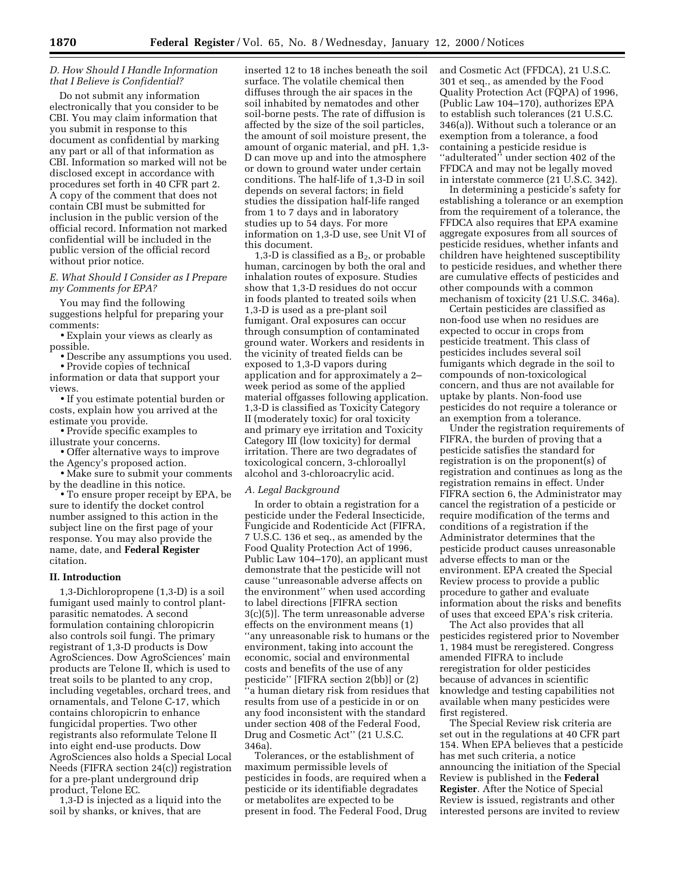## *D. How Should I Handle Information that I Believe is Confidential?*

Do not submit any information electronically that you consider to be CBI. You may claim information that you submit in response to this document as confidential by marking any part or all of that information as CBI. Information so marked will not be disclosed except in accordance with procedures set forth in 40 CFR part 2. A copy of the comment that does not contain CBI must be submitted for inclusion in the public version of the official record. Information not marked confidential will be included in the public version of the official record without prior notice.

## *E. What Should I Consider as I Prepare my Comments for EPA?*

You may find the following suggestions helpful for preparing your comments:

• Explain your views as clearly as possible.

• Describe any assumptions you used. • Provide copies of technical

information or data that support your views.

• If you estimate potential burden or costs, explain how you arrived at the estimate you provide.

• Provide specific examples to illustrate your concerns.

• Offer alternative ways to improve the Agency's proposed action.

• Make sure to submit your comments by the deadline in this notice.

• To ensure proper receipt by EPA, be sure to identify the docket control number assigned to this action in the subject line on the first page of your response. You may also provide the name, date, and **Federal Register** citation.

## **II. Introduction**

1,3-Dichloropropene (1,3-D) is a soil fumigant used mainly to control plantparasitic nematodes. A second formulation containing chloropicrin also controls soil fungi. The primary registrant of 1,3-D products is Dow AgroSciences. Dow AgroSciences' main products are Telone II, which is used to treat soils to be planted to any crop, including vegetables, orchard trees, and ornamentals, and Telone C-17, which contains chloropicrin to enhance fungicidal properties. Two other registrants also reformulate Telone II into eight end-use products. Dow AgroSciences also holds a Special Local Needs (FIFRA section 24(c)) registration for a pre-plant underground drip product, Telone EC.

1,3-D is injected as a liquid into the soil by shanks, or knives, that are

inserted 12 to 18 inches beneath the soil surface. The volatile chemical then diffuses through the air spaces in the soil inhabited by nematodes and other soil-borne pests. The rate of diffusion is affected by the size of the soil particles, the amount of soil moisture present, the amount of organic material, and pH. 1,3- D can move up and into the atmosphere or down to ground water under certain conditions. The half-life of 1,3-D in soil depends on several factors; in field studies the dissipation half-life ranged from 1 to 7 days and in laboratory studies up to 54 days. For more information on 1,3-D use, see Unit VI of this document.

1,3-D is classified as a  $B_2$ , or probable human, carcinogen by both the oral and inhalation routes of exposure. Studies show that 1,3-D residues do not occur in foods planted to treated soils when 1,3-D is used as a pre-plant soil fumigant. Oral exposures can occur through consumption of contaminated ground water. Workers and residents in the vicinity of treated fields can be exposed to 1,3-D vapors during application and for approximately a 2– week period as some of the applied material offgasses following application. 1,3-D is classified as Toxicity Category II (moderately toxic) for oral toxicity and primary eye irritation and Toxicity Category III (low toxicity) for dermal irritation. There are two degradates of toxicological concern, 3-chloroallyl alcohol and 3-chloroacrylic acid.

#### *A. Legal Background*

In order to obtain a registration for a pesticide under the Federal Insecticide, Fungicide and Rodenticide Act (FIFRA, 7 U.S.C. 136 et seq., as amended by the Food Quality Protection Act of 1996, Public Law 104–170), an applicant must demonstrate that the pesticide will not cause ''unreasonable adverse affects on the environment'' when used according to label directions [FIFRA section 3(c)(5)]. The term unreasonable adverse effects on the environment means (1) ''any unreasonable risk to humans or the environment, taking into account the economic, social and environmental costs and benefits of the use of any pesticide'' [FIFRA section 2(bb)] or (2) ''a human dietary risk from residues that results from use of a pesticide in or on any food inconsistent with the standard under section 408 of the Federal Food, Drug and Cosmetic Act'' (21 U.S.C. 346a).

Tolerances, or the establishment of maximum permissible levels of pesticides in foods, are required when a pesticide or its identifiable degradates or metabolites are expected to be present in food. The Federal Food, Drug and Cosmetic Act (FFDCA), 21 U.S.C. 301 et seq., as amended by the Food Quality Protection Act (FQPA) of 1996, (Public Law 104–170), authorizes EPA to establish such tolerances (21 U.S.C. 346(a)). Without such a tolerance or an exemption from a tolerance, a food containing a pesticide residue is "adulterated" under section 402 of the FFDCA and may not be legally moved in interstate commerce (21 U.S.C. 342).

In determining a pesticide's safety for establishing a tolerance or an exemption from the requirement of a tolerance, the FFDCA also requires that EPA examine aggregate exposures from all sources of pesticide residues, whether infants and children have heightened susceptibility to pesticide residues, and whether there are cumulative effects of pesticides and other compounds with a common mechanism of toxicity (21 U.S.C. 346a).

Certain pesticides are classified as non-food use when no residues are expected to occur in crops from pesticide treatment. This class of pesticides includes several soil fumigants which degrade in the soil to compounds of non-toxicological concern, and thus are not available for uptake by plants. Non-food use pesticides do not require a tolerance or an exemption from a tolerance.

Under the registration requirements of FIFRA, the burden of proving that a pesticide satisfies the standard for registration is on the proponent(s) of registration and continues as long as the registration remains in effect. Under FIFRA section 6, the Administrator may cancel the registration of a pesticide or require modification of the terms and conditions of a registration if the Administrator determines that the pesticide product causes unreasonable adverse effects to man or the environment. EPA created the Special Review process to provide a public procedure to gather and evaluate information about the risks and benefits of uses that exceed EPA's risk criteria.

The Act also provides that all pesticides registered prior to November 1, 1984 must be reregistered. Congress amended FIFRA to include reregistration for older pesticides because of advances in scientific knowledge and testing capabilities not available when many pesticides were first registered.

The Special Review risk criteria are set out in the regulations at 40 CFR part 154. When EPA believes that a pesticide has met such criteria, a notice announcing the initiation of the Special Review is published in the **Federal Register**. After the Notice of Special Review is issued, registrants and other interested persons are invited to review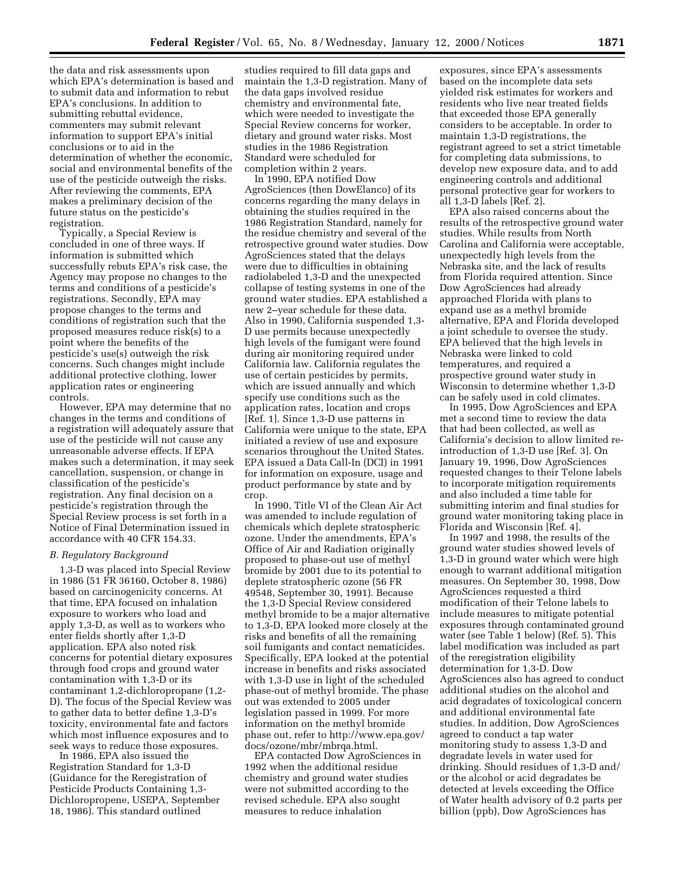the data and risk assessments upon which EPA's determination is based and to submit data and information to rebut EPA's conclusions. In addition to submitting rebuttal evidence, commenters may submit relevant information to support EPA's initial conclusions or to aid in the determination of whether the economic, social and environmental benefits of the use of the pesticide outweigh the risks. After reviewing the comments, EPA makes a preliminary decision of the future status on the pesticide's registration.

Typically, a Special Review is concluded in one of three ways. If information is submitted which successfully rebuts EPA's risk case, the Agency may propose no changes to the terms and conditions of a pesticide's registrations. Secondly, EPA may propose changes to the terms and conditions of registration such that the proposed measures reduce risk(s) to a point where the benefits of the pesticide's use(s) outweigh the risk concerns. Such changes might include additional protective clothing, lower application rates or engineering controls.

However, EPA may determine that no changes in the terms and conditions of a registration will adequately assure that use of the pesticide will not cause any unreasonable adverse effects. If EPA makes such a determination, it may seek cancellation, suspension, or change in classification of the pesticide's registration. Any final decision on a pesticide's registration through the Special Review process is set forth in a Notice of Final Determination issued in accordance with 40 CFR 154.33.

#### *B. Regulatory Background*

1,3-D was placed into Special Review in 1986 (51 FR 36160, October 8, 1986) based on carcinogenicity concerns. At that time, EPA focused on inhalation exposure to workers who load and apply 1,3-D, as well as to workers who enter fields shortly after 1,3-D application. EPA also noted risk concerns for potential dietary exposures through food crops and ground water contamination with 1,3-D or its contaminant 1,2-dichloropropane (1,2- D). The focus of the Special Review was to gather data to better define 1,3-D's toxicity, environmental fate and factors which most influence exposures and to seek ways to reduce those exposures.

In 1986, EPA also issued the Registration Standard for 1,3-D (Guidance for the Reregistration of Pesticide Products Containing 1,3- Dichloropropene, USEPA, September 18, 1986). This standard outlined

studies required to fill data gaps and maintain the 1,3-D registration. Many of the data gaps involved residue chemistry and environmental fate, which were needed to investigate the Special Review concerns for worker, dietary and ground water risks. Most studies in the 1986 Registration Standard were scheduled for completion within 2 years.

In 1990, EPA notified Dow AgroSciences (then DowElanco) of its concerns regarding the many delays in obtaining the studies required in the 1986 Registration Standard, namely for the residue chemistry and several of the retrospective ground water studies. Dow AgroSciences stated that the delays were due to difficulties in obtaining radiolabeled 1,3-D and the unexpected collapse of testing systems in one of the ground water studies. EPA established a new 2–year schedule for these data. Also in 1990, California suspended 1,3- D use permits because unexpectedly high levels of the fumigant were found during air monitoring required under California law. California regulates the use of certain pesticides by permits, which are issued annually and which specify use conditions such as the application rates, location and crops [Ref. 1]. Since 1,3-D use patterns in California were unique to the state, EPA initiated a review of use and exposure scenarios throughout the United States. EPA issued a Data Call-In (DCI) in 1991 for information on exposure, usage and product performance by state and by crop.

In 1990, Title VI of the Clean Air Act was amended to include regulation of chemicals which deplete stratospheric ozone. Under the amendments, EPA's Office of Air and Radiation originally proposed to phase-out use of methyl bromide by 2001 due to its potential to deplete stratospheric ozone (56 FR 49548, September 30, 1991). Because the 1,3-D Special Review considered methyl bromide to be a major alternative to 1,3-D, EPA looked more closely at the risks and benefits of all the remaining soil fumigants and contact nematicides. Specifically, EPA looked at the potential increase in benefits and risks associated with 1,3-D use in light of the scheduled phase-out of methyl bromide. The phase out was extended to 2005 under legislation passed in 1999. For more information on the methyl bromide phase out, refer to http://www.epa.gov/ docs/ozone/mbr/mbrqa.html.

EPA contacted Dow AgroSciences in 1992 when the additional residue chemistry and ground water studies were not submitted according to the revised schedule. EPA also sought measures to reduce inhalation

exposures, since EPA's assessments based on the incomplete data sets yielded risk estimates for workers and residents who live near treated fields that exceeded those EPA generally considers to be acceptable. In order to maintain 1,3-D registrations, the registrant agreed to set a strict timetable for completing data submissions, to develop new exposure data, and to add engineering controls and additional personal protective gear for workers to all 1,3-D labels [Ref. 2].

EPA also raised concerns about the results of the retrospective ground water studies. While results from North Carolina and California were acceptable, unexpectedly high levels from the Nebraska site, and the lack of results from Florida required attention. Since Dow AgroSciences had already approached Florida with plans to expand use as a methyl bromide alternative, EPA and Florida developed a joint schedule to oversee the study. EPA believed that the high levels in Nebraska were linked to cold temperatures, and required a prospective ground water study in Wisconsin to determine whether 1,3-D can be safely used in cold climates.

In 1995, Dow AgroSciences and EPA met a second time to review the data that had been collected, as well as California's decision to allow limited reintroduction of 1,3-D use [Ref. 3]. On January 19, 1996, Dow AgroSciences requested changes to their Telone labels to incorporate mitigation requirements and also included a time table for submitting interim and final studies for ground water monitoring taking place in Florida and Wisconsin [Ref. 4].

In 1997 and 1998, the results of the ground water studies showed levels of 1,3-D in ground water which were high enough to warrant additional mitigation measures. On September 30, 1998, Dow AgroSciences requested a third modification of their Telone labels to include measures to mitigate potential exposures through contaminated ground water (see Table 1 below) (Ref. 5). This label modification was included as part of the reregistration eligibility determination for 1,3-D. Dow AgroSciences also has agreed to conduct additional studies on the alcohol and acid degradates of toxicological concern and additional environmental fate studies. In addition, Dow AgroSciences agreed to conduct a tap water monitoring study to assess 1,3-D and degradate levels in water used for drinking. Should residues of 1,3-D and/ or the alcohol or acid degradates be detected at levels exceeding the Office of Water health advisory of 0.2 parts per billion (ppb), Dow AgroSciences has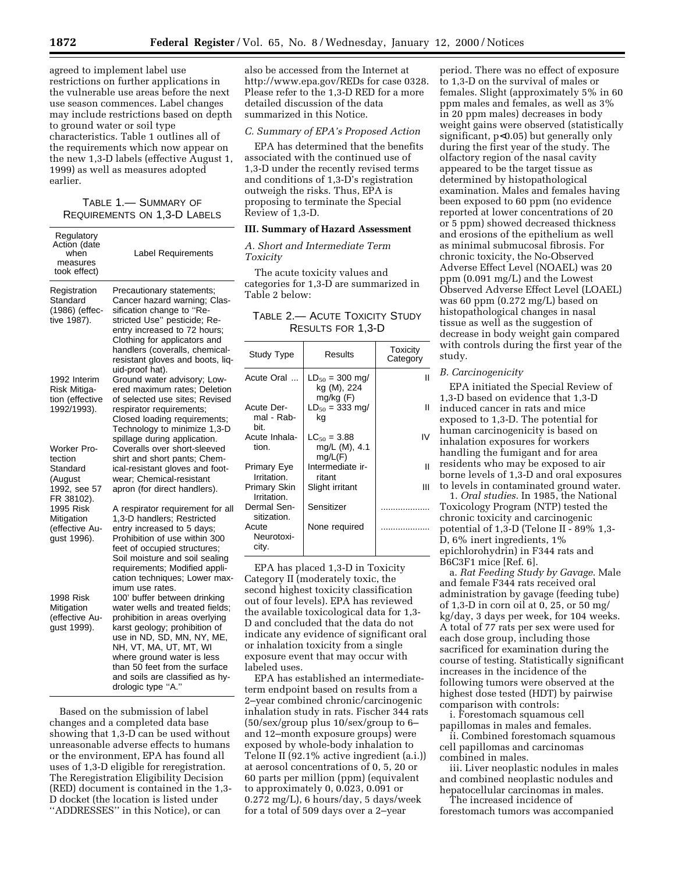agreed to implement label use restrictions on further applications in the vulnerable use areas before the next use season commences. Label changes may include restrictions based on depth to ground water or soil type characteristics. Table 1 outlines all of the requirements which now appear on the new 1,3-D labels (effective August 1, 1999) as well as measures adopted earlier.

## TABLE 1.— SUMMARY OF REQUIREMENTS ON 1,3-D LABELS

| Regulatory<br>Action (date<br>when<br>measures<br>took effect)                                                                          | Label Requirements                                                                                                                                                                                                                                                                                                                                                                                                               |
|-----------------------------------------------------------------------------------------------------------------------------------------|----------------------------------------------------------------------------------------------------------------------------------------------------------------------------------------------------------------------------------------------------------------------------------------------------------------------------------------------------------------------------------------------------------------------------------|
| Registration<br>Standard<br>(1986) (effec-<br>tive 1987).                                                                               | Precautionary statements;<br>Cancer hazard warning; Clas-<br>sification change to "Re-<br>stricted Use" pesticide; Re-<br>entry increased to 72 hours;<br>Clothing for applicators and<br>handlers (coveralls, chemical-<br>resistant gloves and boots, liq-<br>uid-proof hat).                                                                                                                                                  |
| 1992 Interim<br>Risk Mitiga-<br>tion (effective<br>1992/1993).                                                                          | Ground water advisory; Low-<br>ered maximum rates; Deletion<br>of selected use sites; Revised<br>respirator requirements;<br>Closed loading requirements;<br>Technology to minimize 1,3-D<br>spillage during application.                                                                                                                                                                                                        |
| Worker Pro-<br>tection<br>Standard<br>(August<br>1992, see 57<br>FR 38102).<br>1995 Risk<br>Mitigation<br>(effective Au-<br>gust 1996). | Coveralls over short-sleeved<br>shirt and short pants; Chem-<br>ical-resistant gloves and foot-<br>wear; Chemical-resistant<br>apron (for direct handlers).<br>A respirator requirement for all<br>1,3-D handlers; Restricted<br>entry increased to 5 days;<br>Prohibition of use within 300<br>feet of occupied structures;<br>Soil moisture and soil sealing<br>requirements; Modified appli-<br>cation techniques; Lower max- |
| 1998 Risk<br>Mitigation<br>(effective Au-<br>gust 1999).                                                                                | imum use rates.<br>100' buffer between drinking<br>water wells and treated fields;<br>prohibition in areas overlying<br>karst geology; prohibition of<br>use in ND, SD, MN, NY, ME,<br>NH, VT, MA, UT, MT, WI<br>where ground water is less<br>than 50 feet from the surface<br>and soils are classified as hy-<br>drologic type "A."                                                                                            |

Based on the submission of label changes and a completed data base showing that 1,3-D can be used without unreasonable adverse effects to humans or the environment, EPA has found all uses of 1,3-D eligible for reregistration. The Reregistration Eligibility Decision (RED) document is contained in the 1,3- D docket (the location is listed under ''ADDRESSES'' in this Notice), or can

also be accessed from the Internet at http://www.epa.gov/REDs for case 0328. Please refer to the 1,3-D RED for a more detailed discussion of the data summarized in this Notice.

## *C. Summary of EPA's Proposed Action*

EPA has determined that the benefits associated with the continued use of 1,3-D under the recently revised terms and conditions of 1,3-D's registration outweigh the risks. Thus, EPA is proposing to terminate the Special Review of 1,3-D.

## **III. Summary of Hazard Assessment**

*A. Short and Intermediate Term Toxicity*

The acute toxicity values and categories for 1,3-D are summarized in Table 2 below:

| Table 2.— Acute Toxicity Study |                          |  |
|--------------------------------|--------------------------|--|
|                                | <b>RESULTS FOR 1.3-D</b> |  |

| Study Type                       | Results                                      | Toxicity<br>Category |
|----------------------------------|----------------------------------------------|----------------------|
| Acute Oral                       | $LD_{50} = 300$ mg/<br>kg (M), 224           | Ш                    |
| Acute Der-<br>mal - Rab-<br>bit. | $mg/kg$ (F)<br>$LD_{50} = 333$ mg/<br>kq     | Ш                    |
| Acute Inhala-<br>tion.           | $LC_{50} = 3.88$<br>mg/L (M), 4.1<br>mg/L(F) | IV                   |
| Primary Eye<br>Irritation.       | Intermediate ir-<br>ritant                   | Ш                    |
| Primary Skin<br>Irritation.      | Slight irritant                              | Ш                    |
| Dermal Sen-<br>sitization.       | Sensitizer                                   |                      |
| Acute<br>Neurotoxi-<br>city.     | None required                                |                      |

EPA has placed 1,3-D in Toxicity Category II (moderately toxic, the second highest toxicity classification out of four levels). EPA has reviewed the available toxicological data for 1,3- D and concluded that the data do not indicate any evidence of significant oral or inhalation toxicity from a single exposure event that may occur with labeled uses.

EPA has established an intermediateterm endpoint based on results from a 2–year combined chronic/carcinogenic inhalation study in rats. Fischer 344 rats (50/sex/group plus 10/sex/group to 6– and 12–month exposure groups) were exposed by whole-body inhalation to Telone II (92.1% active ingredient (a.i.)) at aerosol concentrations of 0, 5, 20 or 60 parts per million (ppm) (equivalent to approximately 0, 0.023, 0.091 or 0.272 mg/L), 6 hours/day, 5 days/week for a total of 509 days over a 2–year

period. There was no effect of exposure to 1,3-D on the survival of males or females. Slight (approximately 5% in 60 ppm males and females, as well as 3% in 20 ppm males) decreases in body weight gains were observed (statistically significant, p<0.05) but generally only during the first year of the study. The olfactory region of the nasal cavity appeared to be the target tissue as determined by histopathological examination. Males and females having been exposed to 60 ppm (no evidence reported at lower concentrations of 20 or 5 ppm) showed decreased thickness and erosions of the epithelium as well as minimal submucosal fibrosis. For chronic toxicity, the No-Observed Adverse Effect Level (NOAEL) was 20 ppm (0.091 mg/L) and the Lowest Observed Adverse Effect Level (LOAEL) was 60 ppm (0.272 mg/L) based on histopathological changes in nasal tissue as well as the suggestion of decrease in body weight gain compared with controls during the first year of the study.

### *B. Carcinogenicity*

EPA initiated the Special Review of 1,3-D based on evidence that 1,3-D induced cancer in rats and mice exposed to 1,3-D. The potential for human carcinogenicity is based on inhalation exposures for workers handling the fumigant and for area residents who may be exposed to air borne levels of 1,3-D and oral exposures to levels in contaminated ground water.

1. *Oral studies*. In 1985, the National Toxicology Program (NTP) tested the chronic toxicity and carcinogenic potential of 1,3-D (Telone II - 89% 1,3- D, 6% inert ingredients, 1% epichlorohydrin) in F344 rats and B6C3F1 mice [Ref. 6].

a. *Rat Feeding Study by Gavage*. Male and female F344 rats received oral administration by gavage (feeding tube) of 1,3-D in corn oil at 0, 25, or 50 mg/ kg/day, 3 days per week, for 104 weeks. A total of 77 rats per sex were used for each dose group, including those sacrificed for examination during the course of testing. Statistically significant increases in the incidence of the following tumors were observed at the highest dose tested (HDT) by pairwise comparison with controls:

i. Forestomach squamous cell papillomas in males and females.

ii. Combined forestomach squamous cell papillomas and carcinomas combined in males.

iii. Liver neoplastic nodules in males and combined neoplastic nodules and hepatocellular carcinomas in males.

The increased incidence of forestomach tumors was accompanied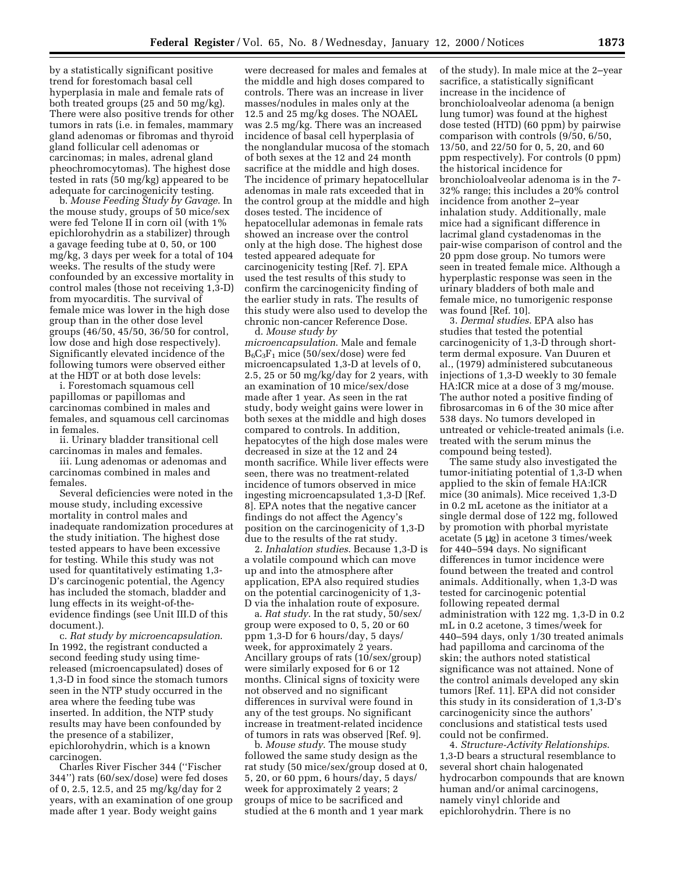by a statistically significant positive trend for forestomach basal cell hyperplasia in male and female rats of both treated groups (25 and 50 mg/kg). There were also positive trends for other tumors in rats (i.e. in females, mammary gland adenomas or fibromas and thyroid gland follicular cell adenomas or carcinomas; in males, adrenal gland pheochromocytomas). The highest dose tested in rats (50 mg/kg) appeared to be adequate for carcinogenicity testing.

b. *Mouse Feeding Study by Gavage*. In the mouse study, groups of 50 mice/sex were fed Telone II in corn oil (with 1% epichlorohydrin as a stabilizer) through a gavage feeding tube at 0, 50, or 100 mg/kg, 3 days per week for a total of 104 weeks. The results of the study were confounded by an excessive mortality in control males (those not receiving 1,3-D) from myocarditis. The survival of female mice was lower in the high dose group than in the other dose level groups (46/50, 45/50, 36/50 for control, low dose and high dose respectively). Significantly elevated incidence of the following tumors were observed either at the HDT or at both dose levels:

i. Forestomach squamous cell papillomas or papillomas and carcinomas combined in males and females, and squamous cell carcinomas in females.

ii. Urinary bladder transitional cell carcinomas in males and females.

iii. Lung adenomas or adenomas and carcinomas combined in males and females.

Several deficiencies were noted in the mouse study, including excessive mortality in control males and inadequate randomization procedures at the study initiation. The highest dose tested appears to have been excessive for testing. While this study was not used for quantitatively estimating 1,3- D's carcinogenic potential, the Agency has included the stomach, bladder and lung effects in its weight-of-theevidence findings (see Unit III.D of this document.).

c. *Rat study by microencapsulation*. In 1992, the registrant conducted a second feeding study using timereleased (microencapsulated) doses of 1,3-D in food since the stomach tumors seen in the NTP study occurred in the area where the feeding tube was inserted. In addition, the NTP study results may have been confounded by the presence of a stabilizer, epichlorohydrin, which is a known carcinogen.

Charles River Fischer 344 (''Fischer 344'') rats (60/sex/dose) were fed doses of 0, 2.5, 12.5, and 25 mg/kg/day for 2 years, with an examination of one group made after 1 year. Body weight gains

were decreased for males and females at the middle and high doses compared to controls. There was an increase in liver masses/nodules in males only at the 12.5 and 25 mg/kg doses. The NOAEL was 2.5 mg/kg. There was an increased incidence of basal cell hyperplasia of the nonglandular mucosa of the stomach of both sexes at the 12 and 24 month sacrifice at the middle and high doses. The incidence of primary hepatocellular adenomas in male rats exceeded that in the control group at the middle and high doses tested. The incidence of hepatocellular ademonas in female rats showed an increase over the control only at the high dose. The highest dose tested appeared adequate for carcinogenicity testing [Ref. 7]. EPA used the test results of this study to confirm the carcinogenicity finding of the earlier study in rats. The results of this study were also used to develop the chronic non-cancer Reference Dose. d. *Mouse study by*

*microencapsulation*. Male and female  $B_6C_3F_1$  mice (50/sex/dose) were fed microencapsulated 1,3-D at levels of 0, 2.5, 25 or 50 mg/kg/day for 2 years, with an examination of 10 mice/sex/dose made after 1 year. As seen in the rat study, body weight gains were lower in both sexes at the middle and high doses compared to controls. In addition, hepatocytes of the high dose males were decreased in size at the 12 and 24 month sacrifice. While liver effects were seen, there was no treatment-related incidence of tumors observed in mice ingesting microencapsulated 1,3-D [Ref. 8]. EPA notes that the negative cancer findings do not affect the Agency's position on the carcinogenicity of 1,3-D due to the results of the rat study.

2. *Inhalation studies*. Because 1,3-D is a volatile compound which can move up and into the atmosphere after application, EPA also required studies on the potential carcinogenicity of 1,3- D via the inhalation route of exposure.

a. *Rat study*. In the rat study, 50/sex/ group were exposed to 0, 5, 20 or 60 ppm 1,3-D for 6 hours/day, 5 days/ week, for approximately 2 years. Ancillary groups of rats (10/sex/group) were similarly exposed for 6 or 12 months. Clinical signs of toxicity were not observed and no significant differences in survival were found in any of the test groups. No significant increase in treatment-related incidence of tumors in rats was observed [Ref. 9].

b. *Mouse study*. The mouse study followed the same study design as the rat study (50 mice/sex/group dosed at 0, 5, 20, or 60 ppm, 6 hours/day, 5 days/ week for approximately 2 years; 2 groups of mice to be sacrificed and studied at the 6 month and 1 year mark

of the study). In male mice at the 2–year sacrifice, a statistically significant increase in the incidence of bronchioloalveolar adenoma (a benign lung tumor) was found at the highest dose tested (HTD) (60 ppm) by pairwise comparison with controls (9/50, 6/50, 13/50, and 22/50 for 0, 5, 20, and 60 ppm respectively). For controls (0 ppm) the historical incidence for bronchioloalveolar adenoma is in the 7- 32% range; this includes a 20% control incidence from another 2–year inhalation study. Additionally, male mice had a significant difference in lacrimal gland cystadenomas in the pair-wise comparison of control and the 20 ppm dose group. No tumors were seen in treated female mice. Although a hyperplastic response was seen in the urinary bladders of both male and female mice, no tumorigenic response was found [Ref. 10].

3. *Dermal studies*. EPA also has studies that tested the potential carcinogenicity of 1,3-D through shortterm dermal exposure. Van Duuren et al., (1979) administered subcutaneous injections of 1,3-D weekly to 30 female HA:ICR mice at a dose of 3 mg/mouse. The author noted a positive finding of fibrosarcomas in 6 of the 30 mice after 538 days. No tumors developed in untreated or vehicle-treated animals (i.e. treated with the serum minus the compound being tested).

The same study also investigated the tumor-initiating potential of 1,3-D when applied to the skin of female HA:ICR mice (30 animals). Mice received 1,3-D in 0.2 mL acetone as the initiator at a single dermal dose of 122 mg, followed by promotion with phorbal myristate acetate (5 µg) in acetone 3 times/week for 440–594 days. No significant differences in tumor incidence were found between the treated and control animals. Additionally, when 1,3-D was tested for carcinogenic potential following repeated dermal administration with 122 mg. 1,3-D in 0.2 mL in 0.2 acetone, 3 times/week for 440–594 days, only 1/30 treated animals had papilloma and carcinoma of the skin; the authors noted statistical significance was not attained. None of the control animals developed any skin tumors [Ref. 11]. EPA did not consider this study in its consideration of 1,3-D's carcinogenicity since the authors' conclusions and statistical tests used could not be confirmed.

4. *Structure-Activity Relationships*. 1,3-D bears a structural resemblance to several short chain halogenated hydrocarbon compounds that are known human and/or animal carcinogens, namely vinyl chloride and epichlorohydrin. There is no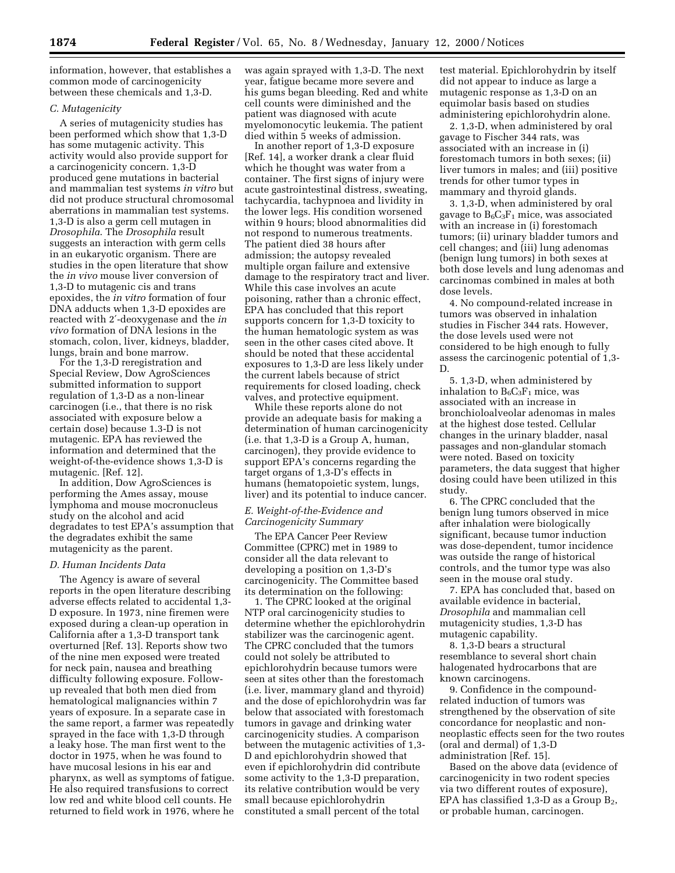information, however, that establishes a common mode of carcinogenicity between these chemicals and 1,3-D.

### *C. Mutagenicity*

A series of mutagenicity studies has been performed which show that 1,3-D has some mutagenic activity. This activity would also provide support for a carcinogenicity concern. 1,3-D produced gene mutations in bacterial and mammalian test systems *in vitro* but did not produce structural chromosomal aberrations in mammalian test systems. 1,3-D is also a germ cell mutagen in *Drosophila*. The *Drosophila* result suggests an interaction with germ cells in an eukaryotic organism. There are studies in the open literature that show the *in vivo* mouse liver conversion of 1,3-D to mutagenic cis and trans epoxides, the *in vitro* formation of four DNA adducts when 1,3-D epoxides are reacted with 2′-deoxygenase and the *in vivo* formation of DNA lesions in the stomach, colon, liver, kidneys, bladder, lungs, brain and bone marrow.

For the 1,3-D reregistration and Special Review, Dow AgroSciences submitted information to support regulation of 1,3-D as a non-linear carcinogen (i.e., that there is no risk associated with exposure below a certain dose) because 1.3-D is not mutagenic. EPA has reviewed the information and determined that the weight-of-the-evidence shows 1,3-D is mutagenic. [Ref. 12].

In addition, Dow AgroSciences is performing the Ames assay, mouse lymphoma and mouse mocronucleus study on the alcohol and acid degradates to test EPA's assumption that the degradates exhibit the same mutagenicity as the parent.

### *D. Human Incidents Data*

The Agency is aware of several reports in the open literature describing adverse effects related to accidental 1,3- D exposure. In 1973, nine firemen were exposed during a clean-up operation in California after a 1,3-D transport tank overturned [Ref. 13]. Reports show two of the nine men exposed were treated for neck pain, nausea and breathing difficulty following exposure. Followup revealed that both men died from hematological malignancies within 7 years of exposure. In a separate case in the same report, a farmer was repeatedly sprayed in the face with 1,3-D through a leaky hose. The man first went to the doctor in 1975, when he was found to have mucosal lesions in his ear and pharynx, as well as symptoms of fatigue. He also required transfusions to correct low red and white blood cell counts. He returned to field work in 1976, where he was again sprayed with 1,3-D. The next year, fatigue became more severe and his gums began bleeding. Red and white cell counts were diminished and the patient was diagnosed with acute myelomonocytic leukemia. The patient died within 5 weeks of admission.

In another report of 1,3-D exposure [Ref. 14], a worker drank a clear fluid which he thought was water from a container. The first signs of injury were acute gastrointestinal distress, sweating, tachycardia, tachypnoea and lividity in the lower legs. His condition worsened within 9 hours; blood abnormalities did not respond to numerous treatments. The patient died 38 hours after admission; the autopsy revealed multiple organ failure and extensive damage to the respiratory tract and liver. While this case involves an acute poisoning, rather than a chronic effect, EPA has concluded that this report supports concern for 1,3-D toxicity to the human hematologic system as was seen in the other cases cited above. It should be noted that these accidental exposures to 1,3-D are less likely under the current labels because of strict requirements for closed loading, check valves, and protective equipment.

While these reports alone do not provide an adequate basis for making a determination of human carcinogenicity (i.e. that 1,3-D is a Group A, human, carcinogen), they provide evidence to support EPA's concerns regarding the target organs of 1,3-D's effects in humans (hematopoietic system, lungs, liver) and its potential to induce cancer.

## *E. Weight-of-the-Evidence and Carcinogenicity Summary*

The EPA Cancer Peer Review Committee (CPRC) met in 1989 to consider all the data relevant to developing a position on 1,3-D's carcinogenicity. The Committee based its determination on the following:

1. The CPRC looked at the original NTP oral carcinogenicity studies to determine whether the epichlorohydrin stabilizer was the carcinogenic agent. The CPRC concluded that the tumors could not solely be attributed to epichlorohydrin because tumors were seen at sites other than the forestomach (i.e. liver, mammary gland and thyroid) and the dose of epichlorohydrin was far below that associated with forestomach tumors in gavage and drinking water carcinogenicity studies. A comparison between the mutagenic activities of 1,3- D and epichlorohydrin showed that even if epichlorohydrin did contribute some activity to the 1,3-D preparation, its relative contribution would be very small because epichlorohydrin constituted a small percent of the total

test material. Epichlorohydrin by itself did not appear to induce as large a mutagenic response as 1,3-D on an equimolar basis based on studies administering epichlorohydrin alone.

2. 1,3-D, when administered by oral gavage to Fischer 344 rats, was associated with an increase in (i) forestomach tumors in both sexes; (ii) liver tumors in males; and (iii) positive trends for other tumor types in mammary and thyroid glands.

3. 1,3-D, when administered by oral gavage to  $B_6C_3F_1$  mice, was associated with an increase in (i) forestomach tumors; (ii) urinary bladder tumors and cell changes; and (iii) lung adenomas (benign lung tumors) in both sexes at both dose levels and lung adenomas and carcinomas combined in males at both dose levels.

4. No compound-related increase in tumors was observed in inhalation studies in Fischer 344 rats. However, the dose levels used were not considered to be high enough to fully assess the carcinogenic potential of 1,3- D.

5. 1,3-D, when administered by inhalation to  $B_6C_3F_1$  mice, was associated with an increase in bronchioloalveolar adenomas in males at the highest dose tested. Cellular changes in the urinary bladder, nasal passages and non-glandular stomach were noted. Based on toxicity parameters, the data suggest that higher dosing could have been utilized in this study.

6. The CPRC concluded that the benign lung tumors observed in mice after inhalation were biologically significant, because tumor induction was dose-dependent, tumor incidence was outside the range of historical controls, and the tumor type was also seen in the mouse oral study.

7. EPA has concluded that, based on available evidence in bacterial, *Drosophila* and mammalian cell mutagenicity studies, 1,3-D has mutagenic capability.

8. 1,3-D bears a structural resemblance to several short chain halogenated hydrocarbons that are known carcinogens.

9. Confidence in the compoundrelated induction of tumors was strengthened by the observation of site concordance for neoplastic and nonneoplastic effects seen for the two routes (oral and dermal) of 1,3-D administration [Ref. 15].

Based on the above data (evidence of carcinogenicity in two rodent species via two different routes of exposure), EPA has classified  $1,3$ -D as a Group  $B_2$ , or probable human, carcinogen.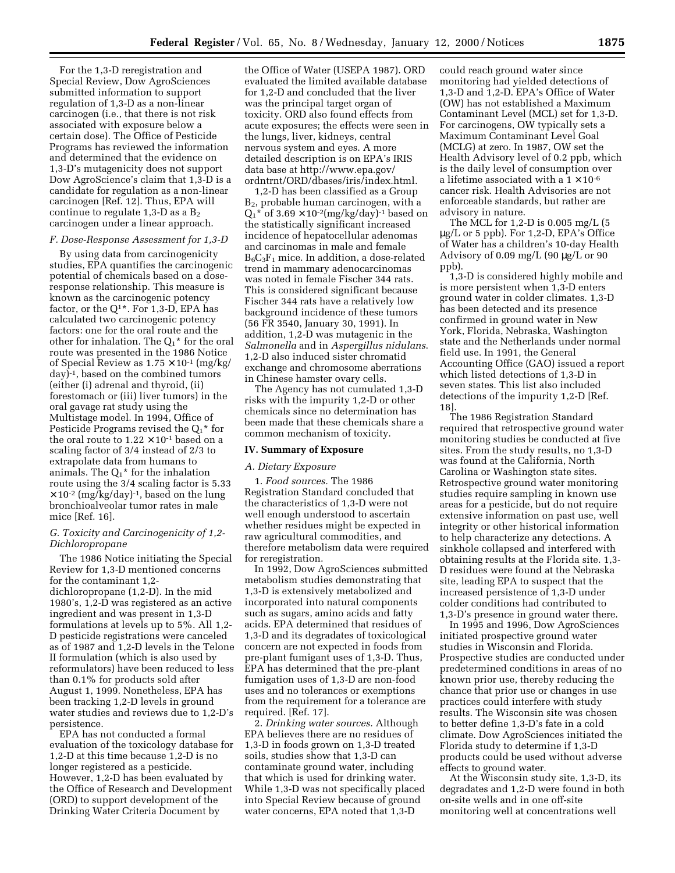For the 1,3-D reregistration and Special Review, Dow AgroSciences submitted information to support regulation of 1,3-D as a non-linear carcinogen (i.e., that there is not risk associated with exposure below a certain dose). The Office of Pesticide Programs has reviewed the information and determined that the evidence on 1,3-D's mutagenicity does not support Dow AgroScience's claim that 1,3-D is a candidate for regulation as a non-linear carcinogen [Ref. 12]. Thus, EPA will continue to regulate 1,3-D as a  $B_2$ carcinogen under a linear approach.

### *F. Dose-Response Assessment for 1,3-D*

By using data from carcinogenicity studies, EPA quantifies the carcinogenic potential of chemicals based on a doseresponse relationship. This measure is known as the carcinogenic potency factor, or the  $Q^{1*}$ . For 1,3-D, EPA has calculated two carcinogenic potency factors: one for the oral route and the other for inhalation. The  $\mathrm{Q_{1}}^{\star}$  for the oral route was presented in the 1986 Notice of Special Review as  $1.75 \times 10^{-1}$  (mg/kg/ day)-1, based on the combined tumors (either (i) adrenal and thyroid, (ii) forestomach or (iii) liver tumors) in the oral gavage rat study using the Multistage model. In 1994, Office of Pesticide Programs revised the  $Q_1^*$  for the oral route to  $1.22 \times 10^{-1}$  based on a scaling factor of 3/4 instead of 2/3 to extrapolate data from humans to animals. The  $Q_1^*$  for the inhalation route using the 3/4 scaling factor is 5.33  $\times$  10<sup>-2</sup> (mg/kg/day)<sup>-1</sup>, based on the lung bronchioalveolar tumor rates in male mice [Ref. 16].

## *G. Toxicity and Carcinogenicity of 1,2- Dichloropropane*

The 1986 Notice initiating the Special Review for 1,3-D mentioned concerns for the contaminant 1,2 dichloropropane (1,2-D). In the mid 1980's, 1,2-D was registered as an active ingredient and was present in 1,3-D formulations at levels up to 5%. All 1,2- D pesticide registrations were canceled as of 1987 and 1,2-D levels in the Telone II formulation (which is also used by reformulators) have been reduced to less than 0.1% for products sold after August 1, 1999. Nonetheless, EPA has been tracking 1,2-D levels in ground water studies and reviews due to 1,2-D's persistence.

EPA has not conducted a formal evaluation of the toxicology database for 1,2-D at this time because 1,2-D is no longer registered as a pesticide. However, 1,2-D has been evaluated by the Office of Research and Development (ORD) to support development of the Drinking Water Criteria Document by

the Office of Water (USEPA 1987). ORD evaluated the limited available database for 1,2-D and concluded that the liver was the principal target organ of toxicity. ORD also found effects from acute exposures; the effects were seen in the lungs, liver, kidneys, central nervous system and eyes. A more detailed description is on EPA's IRIS data base at http://www.epa.gov/ ordntrnt/ORD/dbases/iris/index.html.

1,2-D has been classified as a Group B2, probable human carcinogen, with a  $Q_1^*$  of 3.69  $\times$  10<sup>-2</sup>(mg/kg/day)<sup>-1</sup> based on the statistically significant increased incidence of hepatocellular adenomas and carcinomas in male and female  $B_6C_3F_1$  mice. In addition, a dose-related trend in mammary adenocarcinomas was noted in female Fischer 344 rats. This is considered significant because Fischer 344 rats have a relatively low background incidence of these tumors (56 FR 3540, January 30, 1991). In addition, 1,2-D was mutagenic in the *Salmonella* and in *Aspergillus nidulans*. 1,2-D also induced sister chromatid exchange and chromosome aberrations in Chinese hamster ovary cells.

The Agency has not cumulated 1,3-D risks with the impurity 1,2-D or other chemicals since no determination has been made that these chemicals share a common mechanism of toxicity.

### **IV. Summary of Exposure**

## *A. Dietary Exposure*

1. *Food sources.* The 1986 Registration Standard concluded that the characteristics of 1,3-D were not well enough understood to ascertain whether residues might be expected in raw agricultural commodities, and therefore metabolism data were required for reregistration.

In 1992, Dow AgroSciences submitted metabolism studies demonstrating that 1,3-D is extensively metabolized and incorporated into natural components such as sugars, amino acids and fatty acids. EPA determined that residues of 1,3-D and its degradates of toxicological concern are not expected in foods from pre-plant fumigant uses of 1,3-D. Thus, EPA has determined that the pre-plant fumigation uses of 1,3-D are non-food uses and no tolerances or exemptions from the requirement for a tolerance are required. [Ref. 17].

2. *Drinking water sources.* Although EPA believes there are no residues of 1,3-D in foods grown on 1,3-D treated soils, studies show that 1,3-D can contaminate ground water, including that which is used for drinking water. While 1,3-D was not specifically placed into Special Review because of ground water concerns, EPA noted that 1,3-D

could reach ground water since monitoring had yielded detections of 1,3-D and 1,2-D. EPA's Office of Water (OW) has not established a Maximum Contaminant Level (MCL) set for 1,3-D. For carcinogens, OW typically sets a Maximum Contaminant Level Goal (MCLG) at zero. In 1987, OW set the Health Advisory level of 0.2 ppb, which is the daily level of consumption over a lifetime associated with a  $1 \times 10^{-6}$ cancer risk. Health Advisories are not enforceable standards, but rather are advisory in nature.

The MCL for 1,2-D is 0.005 mg/L (5 µg/L or 5 ppb). For 1,2-D, EPA's Office of Water has a children's 10-day Health Advisory of 0.09 mg/L (90 µg/L or 90 ppb).

1,3-D is considered highly mobile and is more persistent when 1,3-D enters ground water in colder climates. 1,3-D has been detected and its presence confirmed in ground water in New York, Florida, Nebraska, Washington state and the Netherlands under normal field use. In 1991, the General Accounting Office (GAO) issued a report which listed detections of 1,3-D in seven states. This list also included detections of the impurity 1,2-D [Ref. 18].

The 1986 Registration Standard required that retrospective ground water monitoring studies be conducted at five sites. From the study results, no 1,3-D was found at the California, North Carolina or Washington state sites. Retrospective ground water monitoring studies require sampling in known use areas for a pesticide, but do not require extensive information on past use, well integrity or other historical information to help characterize any detections. A sinkhole collapsed and interfered with obtaining results at the Florida site. 1,3- D residues were found at the Nebraska site, leading EPA to suspect that the increased persistence of 1,3-D under colder conditions had contributed to 1,3-D's presence in ground water there.

In 1995 and 1996, Dow AgroSciences initiated prospective ground water studies in Wisconsin and Florida. Prospective studies are conducted under predetermined conditions in areas of no known prior use, thereby reducing the chance that prior use or changes in use practices could interfere with study results. The Wisconsin site was chosen to better define 1,3-D's fate in a cold climate. Dow AgroSciences initiated the Florida study to determine if 1,3-D products could be used without adverse effects to ground water.

At the Wisconsin study site, 1,3-D, its degradates and 1,2-D were found in both on-site wells and in one off-site monitoring well at concentrations well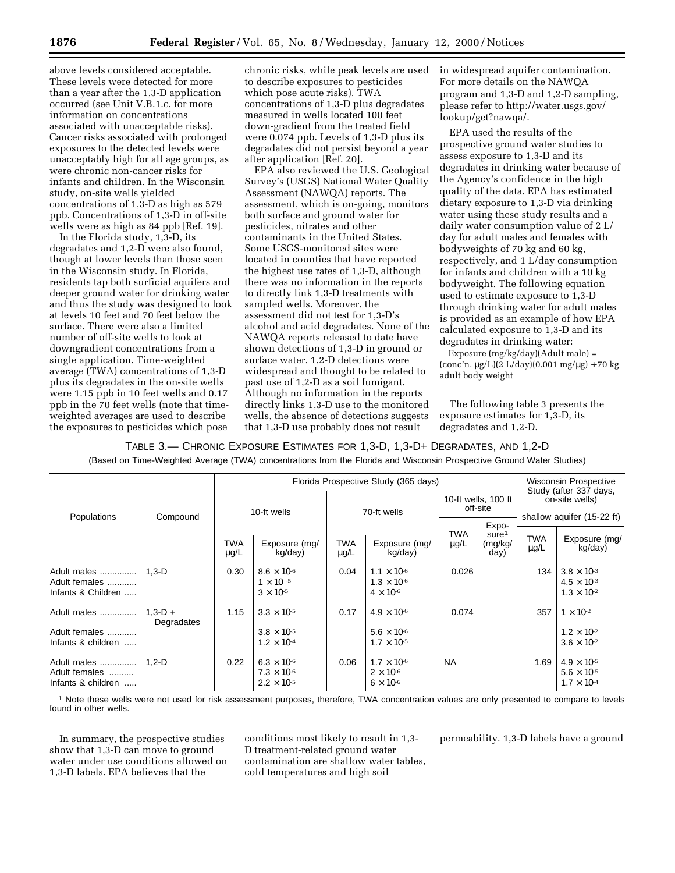above levels considered acceptable. These levels were detected for more than a year after the 1,3-D application occurred (see Unit V.B.1.c. for more information on concentrations associated with unacceptable risks). Cancer risks associated with prolonged exposures to the detected levels were unacceptably high for all age groups, as were chronic non-cancer risks for infants and children. In the Wisconsin study, on-site wells yielded concentrations of 1,3-D as high as 579 ppb. Concentrations of 1,3-D in off-site wells were as high as 84 ppb [Ref. 19].

In the Florida study, 1,3-D, its degradates and 1,2-D were also found, though at lower levels than those seen in the Wisconsin study. In Florida, residents tap both surficial aquifers and deeper ground water for drinking water and thus the study was designed to look at levels 10 feet and 70 feet below the surface. There were also a limited number of off-site wells to look at downgradient concentrations from a single application. Time-weighted average (TWA) concentrations of 1,3-D plus its degradates in the on-site wells were 1.15 ppb in 10 feet wells and 0.17 ppb in the 70 feet wells (note that timeweighted averages are used to describe the exposures to pesticides which pose

chronic risks, while peak levels are used to describe exposures to pesticides which pose acute risks). TWA concentrations of 1,3-D plus degradates measured in wells located 100 feet down-gradient from the treated field were 0.074 ppb. Levels of 1,3-D plus its degradates did not persist beyond a year after application [Ref. 20].

EPA also reviewed the U.S. Geological Survey's (USGS) National Water Quality Assessment (NAWQA) reports. The assessment, which is on-going, monitors both surface and ground water for pesticides, nitrates and other contaminants in the United States. Some USGS-monitored sites were located in counties that have reported the highest use rates of 1,3-D, although there was no information in the reports to directly link 1,3-D treatments with sampled wells. Moreover, the assessment did not test for 1,3-D's alcohol and acid degradates. None of the NAWQA reports released to date have shown detections of 1,3-D in ground or surface water. 1,2-D detections were widespread and thought to be related to past use of 1,2-D as a soil fumigant. Although no information in the reports directly links 1,3-D use to the monitored wells, the absence of detections suggests that 1,3-D use probably does not result

in widespread aquifer contamination. For more details on the NAWQA program and 1,3-D and 1,2-D sampling, please refer to http://water.usgs.gov/ lookup/get?nawqa/.

EPA used the results of the prospective ground water studies to assess exposure to 1,3-D and its degradates in drinking water because of the Agency's confidence in the high quality of the data. EPA has estimated dietary exposure to 1,3-D via drinking water using these study results and a daily water consumption value of 2 L/ day for adult males and females with bodyweights of 70 kg and 60 kg, respectively, and 1 L/day consumption for infants and children with a 10 kg bodyweight. The following equation used to estimate exposure to 1,3-D through drinking water for adult males is provided as an example of how EPA calculated exposure to 1,3-D and its degradates in drinking water:

Exposure (mg/kg/day)(Adult male) = (conc'n, µg/L)(2 L/day)(0.001 mg/µg) ÷ 70 kg adult body weight

The following table 3 presents the exposure estimates for 1,3-D, its degradates and 1,2-D.

TABLE 3.— CHRONIC EXPOSURE ESTIMATES FOR 1,3-D, 1,3-D+ DEGRADATES, AND 1,2-D

(Based on Time-Weighted Average (TWA) concentrations from the Florida and Wisconsin Prospective Ground Water Studies)

|                                                    |                         |                         |                                                                      |                  | Florida Prospective Study (365 days)                                 |                                 |                                               |                            | <b>Wisconsin Prospective</b><br>Study (after 337 days,               |  |  |
|----------------------------------------------------|-------------------------|-------------------------|----------------------------------------------------------------------|------------------|----------------------------------------------------------------------|---------------------------------|-----------------------------------------------|----------------------------|----------------------------------------------------------------------|--|--|
|                                                    |                         |                         |                                                                      |                  |                                                                      | 10-ft wells, 100 ft<br>off-site |                                               | on-site wells)             |                                                                      |  |  |
| Populations                                        | Compound                |                         | 10-ft wells                                                          |                  | 70-ft wells                                                          |                                 |                                               | shallow aquifer (15-22 ft) |                                                                      |  |  |
|                                                    |                         | <b>TWA</b><br>$\mu$ g/L | Exposure (mg/<br>kg/day)                                             | TWA<br>$\mu$ g/L | Exposure (mg/<br>kg/day)                                             | TWA<br>$\mu$ g/L                | Expo-<br>sure <sup>1</sup><br>(mg/kg/<br>day) | <b>TWA</b><br>$\mu$ g/L    | Exposure (mg/<br>kg/day)                                             |  |  |
| Adult males<br>Adult females<br>Infants & Children | $1.3-D$                 | 0.30                    | $8.6 \times 10^{-6}$<br>$1 \times 10^{-5}$<br>$3 \times 10^{-5}$     | 0.04             | $1.1 \times 10^{-6}$<br>$1.3 \times 10^{-6}$<br>$4 \times 10^{-6}$   | 0.026                           |                                               | 134                        | $3.8 \times 10^{-3}$<br>$4.5 \times 10^{-3}$<br>$1.3 \times 10^{-2}$ |  |  |
| Adult males<br>Adult females<br>Infants & children | $1.3-D +$<br>Degradates | 1.15                    | $3.3 \times 10^{-5}$<br>$3.8 \times 10^{-5}$<br>$1.2 \times 10^{-4}$ | 0.17             | $4.9 \times 10^{-6}$<br>$5.6 \times 10^{-6}$<br>$1.7 \times 10^{-5}$ | 0.074                           |                                               | 357                        | $1 \times 10^{-2}$<br>$1.2 \times 10^{-2}$<br>$3.6 \times 10^{-2}$   |  |  |
| Adult males<br>Adult females<br>Infants & children | $1.2 - D$               | 0.22                    | $6.3 \times 10^{-6}$<br>$7.3 \times 10^{-6}$<br>$2.2 \times 10^{-5}$ | 0.06             | $1.7 \times 10^{-6}$<br>$2 \times 10^{-6}$<br>$6 \times 10^{-6}$     | <b>NA</b>                       |                                               | 1.69                       | $4.9 \times 10^{-5}$<br>$5.6 \times 10^{-5}$<br>$1.7 \times 10^{-4}$ |  |  |

1 Note these wells were not used for risk assessment purposes, therefore, TWA concentration values are only presented to compare to levels found in other wells.

In summary, the prospective studies show that 1,3-D can move to ground water under use conditions allowed on 1,3-D labels. EPA believes that the

conditions most likely to result in 1,3- D treatment-related ground water contamination are shallow water tables, cold temperatures and high soil

permeability. 1,3-D labels have a ground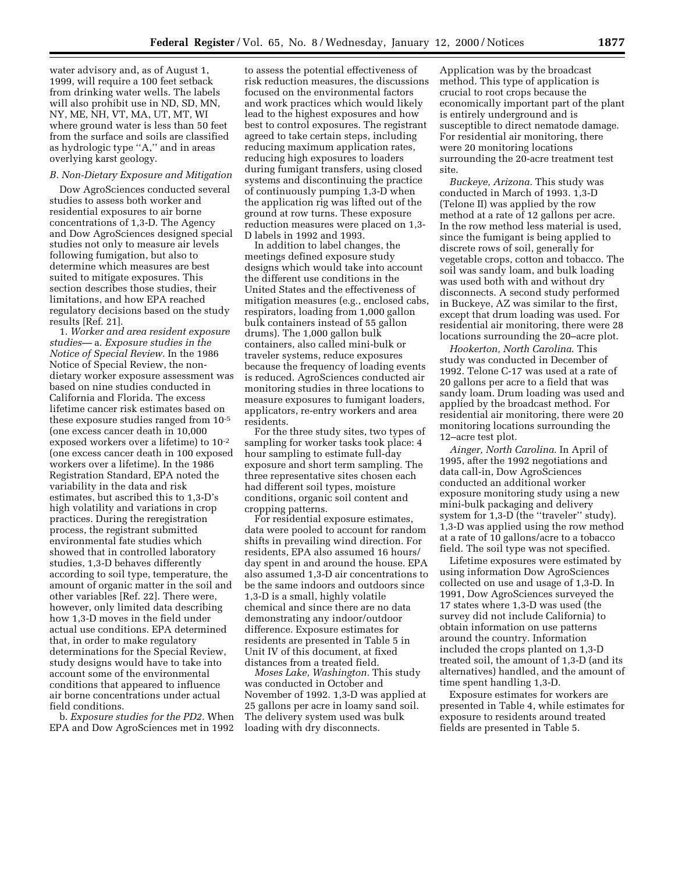water advisory and, as of August 1, 1999, will require a 100 feet setback from drinking water wells. The labels will also prohibit use in ND, SD, MN, NY, ME, NH, VT, MA, UT, MT, WI where ground water is less than 50 feet from the surface and soils are classified as hydrologic type ''A,'' and in areas overlying karst geology.

## *B. Non-Dietary Exposure and Mitigation*

Dow AgroSciences conducted several studies to assess both worker and residential exposures to air borne concentrations of 1,3-D. The Agency and Dow AgroSciences designed special studies not only to measure air levels following fumigation, but also to determine which measures are best suited to mitigate exposures. This section describes those studies, their limitations, and how EPA reached regulatory decisions based on the study results [Ref. 21].

1. *Worker and area resident exposure studies—* a. *Exposure studies in the Notice of Special Review.* In the 1986 Notice of Special Review, the nondietary worker exposure assessment was based on nine studies conducted in California and Florida. The excess lifetime cancer risk estimates based on these exposure studies ranged from 10-5 (one excess cancer death in 10,000 exposed workers over a lifetime) to 10-2 (one excess cancer death in 100 exposed workers over a lifetime). In the 1986 Registration Standard, EPA noted the variability in the data and risk estimates, but ascribed this to 1,3-D's high volatility and variations in crop practices. During the reregistration process, the registrant submitted environmental fate studies which showed that in controlled laboratory studies, 1,3-D behaves differently according to soil type, temperature, the amount of organic matter in the soil and other variables [Ref. 22]. There were, however, only limited data describing how 1,3-D moves in the field under actual use conditions. EPA determined that, in order to make regulatory determinations for the Special Review, study designs would have to take into account some of the environmental conditions that appeared to influence air borne concentrations under actual field conditions.

b. *Exposure studies for the PD2.* When EPA and Dow AgroSciences met in 1992

to assess the potential effectiveness of risk reduction measures, the discussions focused on the environmental factors and work practices which would likely lead to the highest exposures and how best to control exposures. The registrant agreed to take certain steps, including reducing maximum application rates, reducing high exposures to loaders during fumigant transfers, using closed systems and discontinuing the practice of continuously pumping 1,3-D when the application rig was lifted out of the ground at row turns. These exposure reduction measures were placed on 1,3- D labels in 1992 and 1993.

In addition to label changes, the meetings defined exposure study designs which would take into account the different use conditions in the United States and the effectiveness of mitigation measures (e.g., enclosed cabs, respirators, loading from 1,000 gallon bulk containers instead of 55 gallon drums). The 1,000 gallon bulk containers, also called mini-bulk or traveler systems, reduce exposures because the frequency of loading events is reduced. AgroSciences conducted air monitoring studies in three locations to measure exposures to fumigant loaders, applicators, re-entry workers and area residents.

For the three study sites, two types of sampling for worker tasks took place: 4 hour sampling to estimate full-day exposure and short term sampling. The three representative sites chosen each had different soil types, moisture conditions, organic soil content and cropping patterns.

For residential exposure estimates, data were pooled to account for random shifts in prevailing wind direction. For residents, EPA also assumed 16 hours/ day spent in and around the house. EPA also assumed 1,3-D air concentrations to be the same indoors and outdoors since 1,3-D is a small, highly volatile chemical and since there are no data demonstrating any indoor/outdoor difference. Exposure estimates for residents are presented in Table 5 in Unit IV of this document, at fixed distances from a treated field.

*Moses Lake, Washington.* This study was conducted in October and November of 1992. 1,3-D was applied at 25 gallons per acre in loamy sand soil. The delivery system used was bulk loading with dry disconnects.

Application was by the broadcast method. This type of application is crucial to root crops because the economically important part of the plant is entirely underground and is susceptible to direct nematode damage. For residential air monitoring, there were 20 monitoring locations surrounding the 20-acre treatment test site.

*Buckeye, Arizona.* This study was conducted in March of 1993. 1,3-D (Telone II) was applied by the row method at a rate of 12 gallons per acre. In the row method less material is used, since the fumigant is being applied to discrete rows of soil, generally for vegetable crops, cotton and tobacco. The soil was sandy loam, and bulk loading was used both with and without dry disconnects. A second study performed in Buckeye, AZ was similar to the first, except that drum loading was used. For residential air monitoring, there were 28 locations surrounding the 20–acre plot.

*Hookerton, North Carolina*. This study was conducted in December of 1992. Telone C-17 was used at a rate of 20 gallons per acre to a field that was sandy loam. Drum loading was used and applied by the broadcast method. For residential air monitoring, there were 20 monitoring locations surrounding the 12–acre test plot.

*Ainger, North Carolina*. In April of 1995, after the 1992 negotiations and data call-in, Dow AgroSciences conducted an additional worker exposure monitoring study using a new mini-bulk packaging and delivery system for 1,3-D (the ''traveler'' study). 1,3-D was applied using the row method at a rate of 10 gallons/acre to a tobacco field. The soil type was not specified.

Lifetime exposures were estimated by using information Dow AgroSciences collected on use and usage of 1,3-D. In 1991, Dow AgroSciences surveyed the 17 states where 1,3-D was used (the survey did not include California) to obtain information on use patterns around the country. Information included the crops planted on 1,3-D treated soil, the amount of 1,3-D (and its alternatives) handled, and the amount of time spent handling 1,3-D.

Exposure estimates for workers are presented in Table 4, while estimates for exposure to residents around treated fields are presented in Table 5.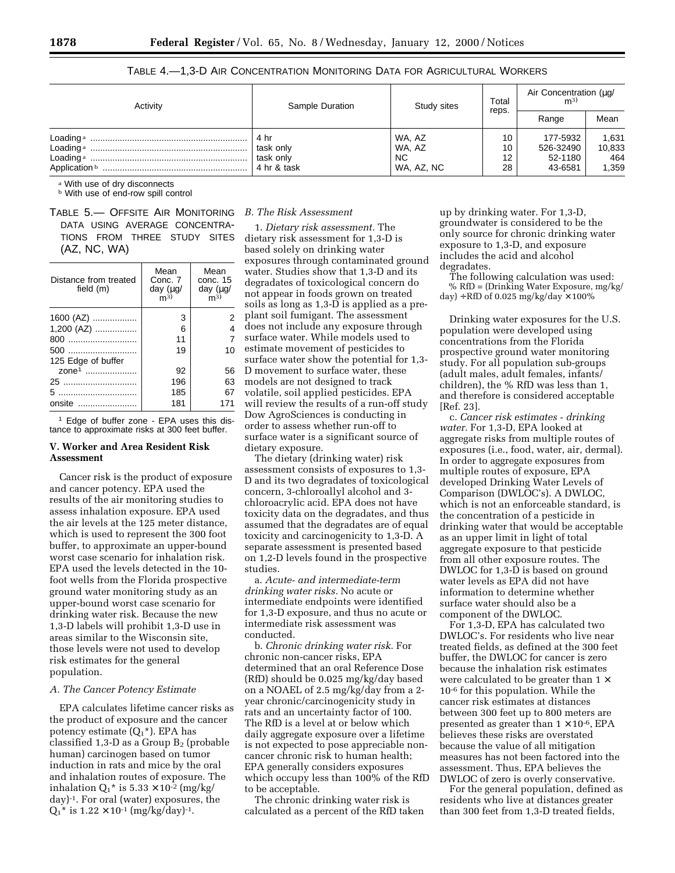TABLE 4.—1,3-D AIR CONCENTRATION MONITORING DATA FOR AGRICULTURAL WORKERS

| Activity                                                  | Sample Duration                               | Study sites                           | Total                | Air Concentration (μg/<br>m <sup>3</sup>    |                                 |
|-----------------------------------------------------------|-----------------------------------------------|---------------------------------------|----------------------|---------------------------------------------|---------------------------------|
|                                                           |                                               |                                       | reps.                | Range                                       | Mean                            |
| Loading a<br>Loading <sup>a</sup><br>Loading <sup>a</sup> | 4 hr<br>task only<br>task only<br>4 hr & task | WA, AZ<br>WA, AZ<br>NC.<br>WA, AZ, NC | 10<br>10<br>12<br>28 | 177-5932<br>526-32490<br>52-1180<br>43-6581 | 1,631<br>10,833<br>464<br>1,359 |

a With use of dry disconnects

**b** With use of end-row spill control

TABLE 5.— OFFSITE AIR MONITORING DATA USING AVERAGE CONCENTRA-TIONS FROM THREE STUDY SITES (AZ, NC, WA)

| Distance from treated<br>field (m) | Mean<br>Conc. 7<br>day $(\mu g)$<br>m <sup>3</sup> | Mean<br>conc. 15<br>day $(\mu g)$<br>m <sup>3</sup> |
|------------------------------------|----------------------------------------------------|-----------------------------------------------------|
| 1600 (AZ)                          | 3                                                  | 2                                                   |
| 1,200 (AZ)                         | 6                                                  | 4                                                   |
| 800                                | 11                                                 | 7                                                   |
| 500                                | 19                                                 | 10                                                  |
| 125 Edge of buffer                 |                                                    |                                                     |
| zone <sup>1</sup>                  | 92                                                 | 56                                                  |
| 25                                 | 196                                                | 63                                                  |
|                                    | 185                                                | 67                                                  |
| onsite                             | 181                                                | 171                                                 |
|                                    |                                                    |                                                     |

1 Edge of buffer zone - EPA uses this distance to approximate risks at 300 feet buffer.

## **V. Worker and Area Resident Risk Assessment**

Cancer risk is the product of exposure and cancer potency. EPA used the results of the air monitoring studies to assess inhalation exposure. EPA used the air levels at the 125 meter distance, which is used to represent the 300 foot buffer, to approximate an upper-bound worst case scenario for inhalation risk. EPA used the levels detected in the 10 foot wells from the Florida prospective ground water monitoring study as an upper-bound worst case scenario for drinking water risk. Because the new 1,3-D labels will prohibit 1,3-D use in areas similar to the Wisconsin site, those levels were not used to develop risk estimates for the general population.

### *A. The Cancer Potency Estimate*

EPA calculates lifetime cancer risks as the product of exposure and the cancer potency estimate  $(Q_1^*)$ . EPA has classified  $1,3$ -D as a Group  $B_2$  (probable human) carcinogen based on tumor induction in rats and mice by the oral and inhalation routes of exposure. The inhalation  $Q_1^*$  is  $5.33 \times 10^{-2}$  (mg/kg/ day)-1. For oral (water) exposures, the  $Q_1$ <sup>\*</sup> is  $1.22 \times 10^{-1}$  (mg/kg/day)<sup>-1</sup>.

### *B. The Risk Assessment*

1. *Dietary risk assessment.* The dietary risk assessment for 1,3-D is based solely on drinking water exposures through contaminated ground water. Studies show that 1,3-D and its degradates of toxicological concern do not appear in foods grown on treated soils as long as 1,3-D is applied as a preplant soil fumigant. The assessment does not include any exposure through surface water. While models used to estimate movement of pesticides to surface water show the potential for 1,3- D movement to surface water, these models are not designed to track volatile, soil applied pesticides. EPA will review the results of a run-off study Dow AgroSciences is conducting in order to assess whether run-off to surface water is a significant source of dietary exposure.

The dietary (drinking water) risk assessment consists of exposures to 1,3- D and its two degradates of toxicological concern, 3-chloroallyl alcohol and 3 chloroacrylic acid. EPA does not have toxicity data on the degradates, and thus assumed that the degradates are of equal toxicity and carcinogenicity to 1,3-D. A separate assessment is presented based on 1,2-D levels found in the prospective studies.

a. *Acute- and intermediate-term drinking water risks.* No acute or intermediate endpoints were identified for 1,3-D exposure, and thus no acute or intermediate risk assessment was conducted.

b. *Chronic drinking water risk.* For chronic non-cancer risks, EPA determined that an oral Reference Dose (RfD) should be 0.025 mg/kg/day based on a NOAEL of 2.5 mg/kg/day from a 2 year chronic/carcinogenicity study in rats and an uncertainty factor of 100. The RfD is a level at or below which daily aggregate exposure over a lifetime is not expected to pose appreciable noncancer chronic risk to human health; EPA generally considers exposures which occupy less than 100% of the RfD to be acceptable.

The chronic drinking water risk is calculated as a percent of the RfD taken

up by drinking water. For 1,3-D, groundwater is considered to be the only source for chronic drinking water exposure to 1,3-D, and exposure includes the acid and alcohol degradates.

The following calculation was used: % RfD = (Drinking Water Exposure, mg/kg/ day) ÷ RfD of 0.025 mg/kg/day  $\times$  100%

Drinking water exposures for the U.S. population were developed using concentrations from the Florida prospective ground water monitoring study. For all population sub-groups (adult males, adult females, infants/ children), the % RfD was less than 1, and therefore is considered acceptable [Ref. 23].

c. *Cancer risk estimates - drinking water.* For 1,3-D, EPA looked at aggregate risks from multiple routes of exposures (i.e., food, water, air, dermal). In order to aggregate exposures from multiple routes of exposure, EPA developed Drinking Water Levels of Comparison (DWLOC's). A DWLOC, which is not an enforceable standard, is the concentration of a pesticide in drinking water that would be acceptable as an upper limit in light of total aggregate exposure to that pesticide from all other exposure routes. The DWLOC for 1,3-D is based on ground water levels as EPA did not have information to determine whether surface water should also be a component of the DWLOC.

For 1,3-D, EPA has calculated two DWLOC's. For residents who live near treated fields, as defined at the 300 feet buffer, the DWLOC for cancer is zero because the inhalation risk estimates were calculated to be greater than  $1 \times$ 10-6 for this population. While the cancer risk estimates at distances between 300 feet up to 800 meters are presented as greater than  $1 \times 10^{-6}$ , EPA believes these risks are overstated because the value of all mitigation measures has not been factored into the assessment. Thus, EPA believes the DWLOC of zero is overly conservative.

For the general population, defined as residents who live at distances greater than 300 feet from 1,3-D treated fields,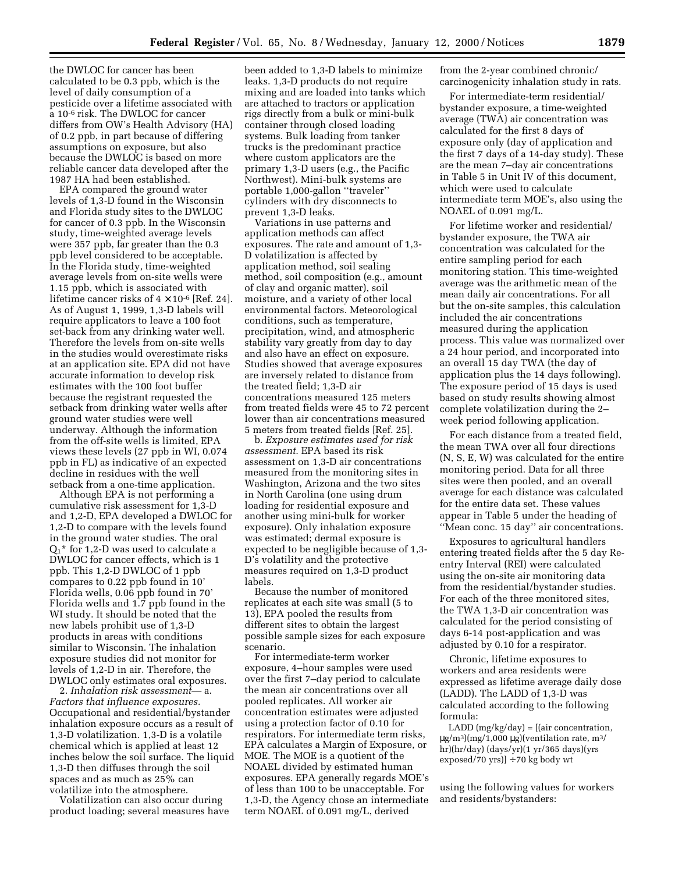the DWLOC for cancer has been calculated to be 0.3 ppb, which is the level of daily consumption of a pesticide over a lifetime associated with a 10-6 risk. The DWLOC for cancer differs from OW's Health Advisory (HA) of 0.2 ppb, in part because of differing assumptions on exposure, but also because the DWLOC is based on more reliable cancer data developed after the 1987 HA had been established.

EPA compared the ground water levels of 1,3-D found in the Wisconsin and Florida study sites to the DWLOC for cancer of 0.3 ppb. In the Wisconsin study, time-weighted average levels were 357 ppb, far greater than the 0.3 ppb level considered to be acceptable. In the Florida study, time-weighted average levels from on-site wells were 1.15 ppb, which is associated with lifetime cancer risks of  $4 \times 10^{-6}$  [Ref. 24]. As of August 1, 1999, 1,3-D labels will require applicators to leave a 100 foot set-back from any drinking water well. Therefore the levels from on-site wells in the studies would overestimate risks at an application site. EPA did not have accurate information to develop risk estimates with the 100 foot buffer because the registrant requested the setback from drinking water wells after ground water studies were well underway. Although the information from the off-site wells is limited, EPA views these levels (27 ppb in WI, 0.074 ppb in FL) as indicative of an expected decline in residues with the well setback from a one-time application.

Although EPA is not performing a cumulative risk assessment for 1,3-D and 1,2-D, EPA developed a DWLOC for 1,2-D to compare with the levels found in the ground water studies. The oral  $Q_1^*$  for 1,2-D was used to calculate a DWLOC for cancer effects, which is 1 ppb. This 1,2-D DWLOC of 1 ppb compares to 0.22 ppb found in 10' Florida wells, 0.06 ppb found in 70' Florida wells and 1.7 ppb found in the WI study. It should be noted that the new labels prohibit use of 1,3-D products in areas with conditions similar to Wisconsin. The inhalation exposure studies did not monitor for levels of 1,2-D in air. Therefore, the DWLOC only estimates oral exposures.

2. *Inhalation risk assessment*— a. *Factors that influence exposures.* Occupational and residential/bystander inhalation exposure occurs as a result of 1,3-D volatilization. 1,3-D is a volatile chemical which is applied at least 12 inches below the soil surface. The liquid 1,3-D then diffuses through the soil spaces and as much as 25% can volatilize into the atmosphere.

Volatilization can also occur during product loading; several measures have

been added to 1,3-D labels to minimize leaks. 1,3-D products do not require mixing and are loaded into tanks which are attached to tractors or application rigs directly from a bulk or mini-bulk container through closed loading systems. Bulk loading from tanker trucks is the predominant practice where custom applicators are the primary 1,3-D users (e.g., the Pacific Northwest). Mini-bulk systems are portable 1,000-gallon ''traveler'' cylinders with dry disconnects to prevent 1,3-D leaks.

Variations in use patterns and application methods can affect exposures. The rate and amount of 1,3- D volatilization is affected by application method, soil sealing method, soil composition (e.g., amount of clay and organic matter), soil moisture, and a variety of other local environmental factors. Meteorological conditions, such as temperature, precipitation, wind, and atmospheric stability vary greatly from day to day and also have an effect on exposure. Studies showed that average exposures are inversely related to distance from the treated field; 1,3-D air concentrations measured 125 meters from treated fields were 45 to 72 percent lower than air concentrations measured 5 meters from treated fields [Ref. 25].

b. *Exposure estimates used for risk assessment*. EPA based its risk assessment on 1,3-D air concentrations measured from the monitoring sites in Washington, Arizona and the two sites in North Carolina (one using drum loading for residential exposure and another using mini-bulk for worker exposure). Only inhalation exposure was estimated; dermal exposure is expected to be negligible because of 1,3- D's volatility and the protective measures required on 1,3-D product labels.

Because the number of monitored replicates at each site was small (5 to 13), EPA pooled the results from different sites to obtain the largest possible sample sizes for each exposure scenario.

For intermediate-term worker exposure, 4–hour samples were used over the first 7–day period to calculate the mean air concentrations over all pooled replicates. All worker air concentration estimates were adjusted using a protection factor of 0.10 for respirators. For intermediate term risks, EPA calculates a Margin of Exposure, or MOE. The MOE is a quotient of the NOAEL divided by estimated human exposures. EPA generally regards MOE's of less than 100 to be unacceptable. For 1,3-D, the Agency chose an intermediate term NOAEL of 0.091 mg/L, derived

from the 2-year combined chronic/ carcinogenicity inhalation study in rats.

For intermediate-term residential/ bystander exposure, a time-weighted average (TWA) air concentration was calculated for the first 8 days of exposure only (day of application and the first 7 days of a 14-day study). These are the mean 7–day air concentrations in Table 5 in Unit IV of this document, which were used to calculate intermediate term MOE's, also using the NOAEL of 0.091 mg/L.

For lifetime worker and residential/ bystander exposure, the TWA air concentration was calculated for the entire sampling period for each monitoring station. This time-weighted average was the arithmetic mean of the mean daily air concentrations. For all but the on-site samples, this calculation included the air concentrations measured during the application process. This value was normalized over a 24 hour period, and incorporated into an overall 15 day TWA (the day of application plus the 14 days following). The exposure period of 15 days is used based on study results showing almost complete volatilization during the 2– week period following application.

For each distance from a treated field, the mean TWA over all four directions (N, S, E, W) was calculated for the entire monitoring period. Data for all three sites were then pooled, and an overall average for each distance was calculated for the entire data set. These values appear in Table 5 under the heading of ''Mean conc. 15 day'' air concentrations.

Exposures to agricultural handlers entering treated fields after the 5 day Reentry Interval (REI) were calculated using the on-site air monitoring data from the residential/bystander studies. For each of the three monitored sites, the TWA 1,3-D air concentration was calculated for the period consisting of days 6-14 post-application and was adjusted by 0.10 for a respirator.

Chronic, lifetime exposures to workers and area residents were expressed as lifetime average daily dose (LADD). The LADD of 1,3-D was calculated according to the following formula:

LADD (mg/kg/day) = [(air concentration,  $\mu$ g/m<sup>3</sup>)(mg/1,000  $\mu$ g)(ventilation rate, m<sup>3</sup>/ hr)(hr/day) (days/yr)(1 yr/365 days)(yrs exposed/70 yrs)] ÷ 70 kg body wt

using the following values for workers and residents/bystanders: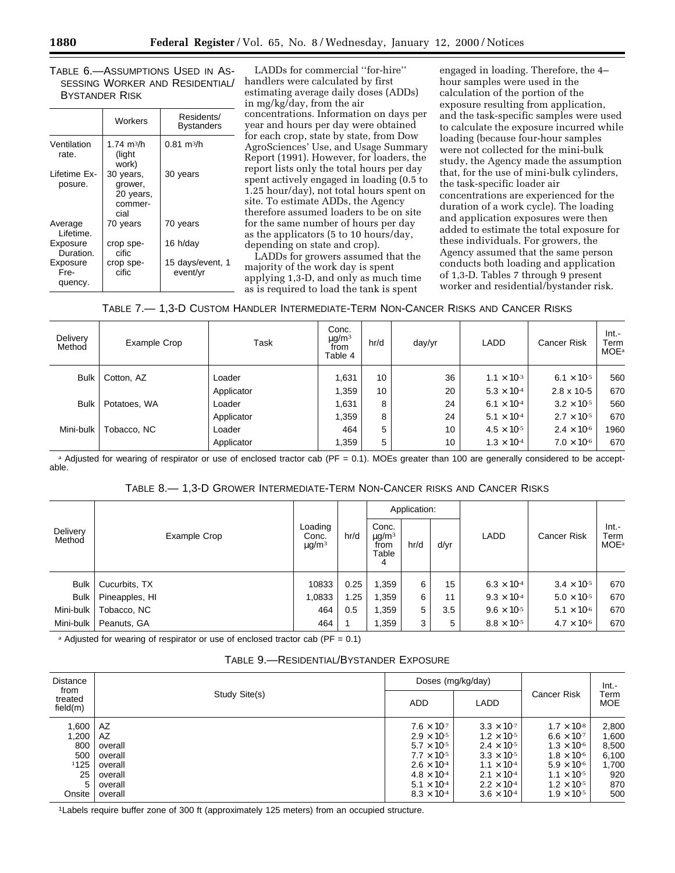TABLE 6.—ASSUMPTIONS USED IN AS-SESSING WORKER AND RESIDENTIAL/ BYSTANDER RISK

|                             | Workers                                              | Residents/<br><b>Bystanders</b> |
|-----------------------------|------------------------------------------------------|---------------------------------|
| Ventilation<br>rate.        | 1.74 m <sup>3</sup> /h<br>(light<br>work)            | $0.81 \text{ m}^3/h$            |
| I ifetime Fx-<br>posure.    | 30 years,<br>grower,<br>20 years,<br>commer-<br>cial | 30 years                        |
| Average<br>Lifetime.        | 70 years                                             | 70 years                        |
| Exposure<br>Duration.       | crop spe-<br>cific                                   | 16 h/day                        |
| Exposure<br>Fre-<br>quency. | crop spe-<br>cific                                   | 15 days/event, 1<br>event/yr    |

LADDs for commercial ''for-hire'' handlers were calculated by first estimating average daily doses (ADDs) in mg/kg/day, from the air concentrations. Information on days per year and hours per day were obtained for each crop, state by state, from Dow AgroSciences' Use, and Usage Summary Report (1991). However, for loaders, the report lists only the total hours per day spent actively engaged in loading (0.5 to 1.25 hour/day), not total hours spent on site. To estimate ADDs, the Agency therefore assumed loaders to be on site for the same number of hours per day as the applicators (5 to 10 hours/day, depending on state and crop).

LADDs for growers assumed that the majority of the work day is spent applying 1,3-D, and only as much time as is required to load the tank is spent

engaged in loading. Therefore, the 4– hour samples were used in the calculation of the portion of the exposure resulting from application, and the task-specific samples were used to calculate the exposure incurred while loading (because four-hour samples were not collected for the mini-bulk study, the Agency made the assumption that, for the use of mini-bulk cylinders, the task-specific loader air concentrations are experienced for the duration of a work cycle). The loading and application exposures were then added to estimate the total exposure for these individuals. For growers, the Agency assumed that the same person conducts both loading and application of 1,3-D. Tables 7 through 9 present worker and residential/bystander risk.

| Table 7.— 1,3-D Custom Handler Intermediate-Term Non-Cancer Risks and Cancer Risks |  |  |  |
|------------------------------------------------------------------------------------|--|--|--|
|------------------------------------------------------------------------------------|--|--|--|

| Delivery<br>Method | Example Crop | Task       | Conc.<br>$\mu$ g/m <sup>3</sup><br>from<br>Table 4 | hr/d | day/yr | LADD                 | <b>Cancer Risk</b>            | $Int. -$<br>Term<br><b>MOE</b> <sup>a</sup> |
|--------------------|--------------|------------|----------------------------------------------------|------|--------|----------------------|-------------------------------|---------------------------------------------|
| <b>Bulk</b>        | Cotton, AZ   | Loader     | 1,631                                              | 10   | 36     | $1.1 \times 10^{-3}$ | 6.1 $\times$ 10 <sup>-5</sup> | 560                                         |
|                    |              | Applicator | 1,359                                              | 10   | 20     | $5.3 \times 10^{-4}$ | $2.8 \times 10 - 5$           | 670                                         |
| <b>Bulk</b>        | Potatoes, WA | Loader     | 1,631                                              | 8    | 24     | $6.1 \times 10^{-4}$ | $3.2 \times 10^{-5}$          | 560                                         |
|                    |              | Applicator | 1,359                                              | 8    | 24     | $5.1 \times 10^{-4}$ | $2.7 \times 10^{-5}$          | 670                                         |
| Mini-bulk          | Tobacco, NC  | Loader     | 464                                                | 5    | 10     | $4.5 \times 10^{-5}$ | $2.4 \times 10^{-6}$          | 1960                                        |
|                    |              | Applicator | 1,359                                              | 5    | 10     | $1.3 \times 10^{-4}$ | $7.0 \times 10^{-6}$          | 670                                         |

a Adjusted for wearing of respirator or use of enclosed tractor cab (PF = 0.1). MOEs greater than 100 are generally considered to be acceptable.

| Table 8.— 1,3-D Grower Intermediate-Term Non-Cancer risks and Cancer Risks |  |  |  |  |
|----------------------------------------------------------------------------|--|--|--|--|
|----------------------------------------------------------------------------|--|--|--|--|

|                    |                |                                            |      |                                                       | Application: |      |                      |                      |                                             |
|--------------------|----------------|--------------------------------------------|------|-------------------------------------------------------|--------------|------|----------------------|----------------------|---------------------------------------------|
| Delivery<br>Method | Example Crop   | Loading<br>Conc.<br>$\mu$ g/m <sup>3</sup> | hr/d | Conc.<br>$\mu$ g/m <sup>3</sup><br>from<br>Table<br>4 | hr/d         | d/yr | LADD                 | <b>Cancer Risk</b>   | $Int. -$<br>Term<br><b>MOE</b> <sup>a</sup> |
| Bulk               | Cucurbits, TX  | 10833                                      | 0.25 | ,359                                                  | 6            | 15   | $6.3 \times 10^{-4}$ | $3.4 \times 10^{-5}$ | 670                                         |
| <b>Bulk</b>        | Pineapples, HI | 1,0833                                     | l.25 | .359                                                  | 6            | 11   | $9.3 \times 10^{-4}$ | $5.0 \times 10^{-5}$ | 670                                         |
| Mini-bulk          | Tobacco, NC    | 464                                        | 0.5  | .359                                                  | 5            | 3.5  | $9.6 \times 10^{-5}$ | $5.1 \times 10^{-6}$ | 670                                         |
| Mini-bulk          | Peanuts, GA    | 464                                        |      | .359                                                  | 3            | 5    | $8.8 \times 10^{-5}$ | $4.7 \times 10^{-6}$ | 670                                         |

<sup>a</sup> Adjusted for wearing of respirator or use of enclosed tractor cab ( $PF = 0.1$ )

| Table 9.—Residential/Bystander Exposure |
|-----------------------------------------|
|-----------------------------------------|

| <b>Distance</b><br>from<br>treated<br>field(m) | Study Site(s) | Doses (mg/kg/day)    |                      | <b>Cancer Risk</b>   | $Int. -$<br>Term<br><b>MOE</b> |
|------------------------------------------------|---------------|----------------------|----------------------|----------------------|--------------------------------|
|                                                |               | <b>ADD</b>           | LADD                 |                      |                                |
| 1,600                                          | AZ            | $7.6 \times 10^{-7}$ | $3.3 \times 10^{-7}$ | $1.7 \times 10^{-8}$ | 2,800                          |
| 1,200                                          | AZ            | $2.9 \times 10^{-5}$ | $1.2 \times 10^{-5}$ | $6.6 \times 10^{-7}$ | 1,600                          |
| 800                                            | overall       | $5.7 \times 10^{-5}$ | $2.4 \times 10^{-5}$ | $1.3 \times 10^{-6}$ | 8,500                          |
| 500                                            | overall       | $7.7 \times 10^{-5}$ | $3.3 \times 10^{-5}$ | $1.8 \times 10^{-6}$ | 6,100                          |
| 1125                                           | overall       | $2.6 \times 10^{-4}$ | $1.1 \times 10^{-4}$ | $5.9 \times 10^{-6}$ | 1,700                          |
| 25                                             | overall       | $4.8 \times 10^{-4}$ | $2.1 \times 10^{-4}$ | $1.1 \times 10^{-5}$ | 920                            |
| 5                                              | overall       | $5.1 \times 10^{-4}$ | $2.2 \times 10^{-4}$ | $1.2 \times 10^{-5}$ | 870                            |
| Onsite                                         | overall       | $8.3 \times 10^{-4}$ | $3.6 \times 10^{-4}$ | $1.9 \times 10^{-5}$ | 500                            |

1Labels require buffer zone of 300 ft (approximately 125 meters) from an occupied structure.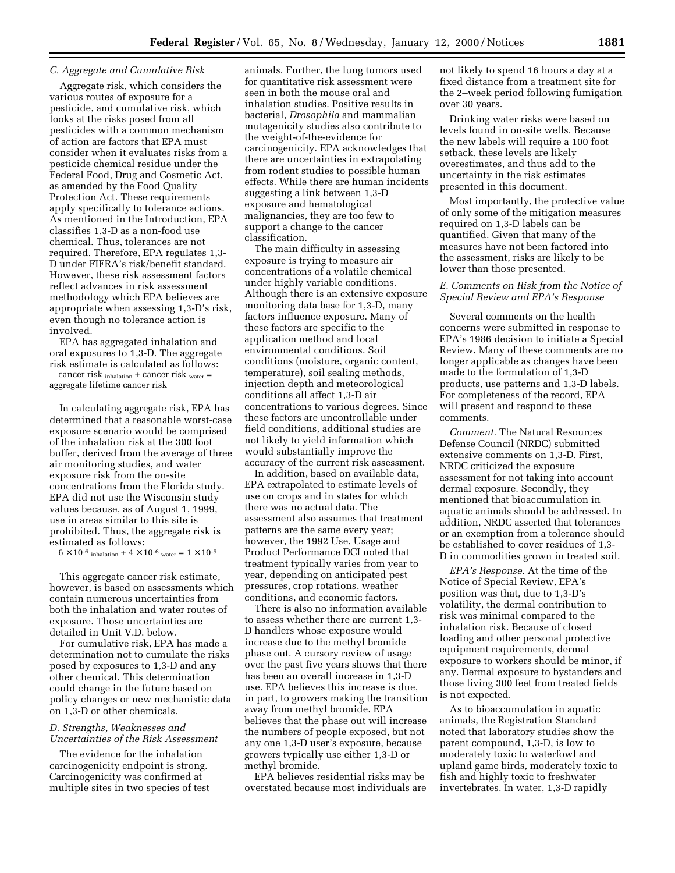### *C. Aggregate and Cumulative Risk*

Aggregate risk, which considers the various routes of exposure for a pesticide, and cumulative risk, which looks at the risks posed from all pesticides with a common mechanism of action are factors that EPA must consider when it evaluates risks from a pesticide chemical residue under the Federal Food, Drug and Cosmetic Act, as amended by the Food Quality Protection Act. These requirements apply specifically to tolerance actions. As mentioned in the Introduction, EPA classifies 1,3-D as a non-food use chemical. Thus, tolerances are not required. Therefore, EPA regulates 1,3- D under FIFRA's risk/benefit standard. However, these risk assessment factors reflect advances in risk assessment methodology which EPA believes are appropriate when assessing 1,3-D's risk, even though no tolerance action is involved.

EPA has aggregated inhalation and oral exposures to 1,3-D. The aggregate risk estimate is calculated as follows:

cancer risk inhalation + cancer risk water = aggregate lifetime cancer risk

In calculating aggregate risk, EPA has determined that a reasonable worst-case exposure scenario would be comprised of the inhalation risk at the 300 foot buffer, derived from the average of three air monitoring studies, and water exposure risk from the on-site concentrations from the Florida study. EPA did not use the Wisconsin study values because, as of August 1, 1999, use in areas similar to this site is prohibited. Thus, the aggregate risk is estimated as follows:

 $6 \times 10^{-6}$  inhalation +  $4 \times 10^{-6}$  water =  $1 \times 10^{-5}$ 

This aggregate cancer risk estimate, however, is based on assessments which contain numerous uncertainties from both the inhalation and water routes of exposure. Those uncertainties are detailed in Unit V.D. below.

For cumulative risk, EPA has made a determination not to cumulate the risks posed by exposures to 1,3-D and any other chemical. This determination could change in the future based on policy changes or new mechanistic data on 1,3-D or other chemicals.

## *D. Strengths, Weaknesses and Uncertainties of the Risk Assessment*

The evidence for the inhalation carcinogenicity endpoint is strong. Carcinogenicity was confirmed at multiple sites in two species of test animals. Further, the lung tumors used for quantitative risk assessment were seen in both the mouse oral and inhalation studies. Positive results in bacterial, *Drosophila* and mammalian mutagenicity studies also contribute to the weight-of-the-evidence for carcinogenicity. EPA acknowledges that there are uncertainties in extrapolating from rodent studies to possible human effects. While there are human incidents suggesting a link between 1,3-D exposure and hematological malignancies, they are too few to support a change to the cancer classification.

The main difficulty in assessing exposure is trying to measure air concentrations of a volatile chemical under highly variable conditions. Although there is an extensive exposure monitoring data base for 1,3-D, many factors influence exposure. Many of these factors are specific to the application method and local environmental conditions. Soil conditions (moisture, organic content, temperature), soil sealing methods, injection depth and meteorological conditions all affect 1,3-D air concentrations to various degrees. Since these factors are uncontrollable under field conditions, additional studies are not likely to yield information which would substantially improve the accuracy of the current risk assessment.

In addition, based on available data, EPA extrapolated to estimate levels of use on crops and in states for which there was no actual data. The assessment also assumes that treatment patterns are the same every year; however, the 1992 Use, Usage and Product Performance DCI noted that treatment typically varies from year to year, depending on anticipated pest pressures, crop rotations, weather conditions, and economic factors.

There is also no information available to assess whether there are current 1,3- D handlers whose exposure would increase due to the methyl bromide phase out. A cursory review of usage over the past five years shows that there has been an overall increase in 1,3-D use. EPA believes this increase is due, in part, to growers making the transition away from methyl bromide. EPA believes that the phase out will increase the numbers of people exposed, but not any one 1,3-D user's exposure, because growers typically use either 1,3-D or methyl bromide.

EPA believes residential risks may be overstated because most individuals are not likely to spend 16 hours a day at a fixed distance from a treatment site for the 2–week period following fumigation over 30 years.

Drinking water risks were based on levels found in on-site wells. Because the new labels will require a 100 foot setback, these levels are likely overestimates, and thus add to the uncertainty in the risk estimates presented in this document.

Most importantly, the protective value of only some of the mitigation measures required on 1,3-D labels can be quantified. Given that many of the measures have not been factored into the assessment, risks are likely to be lower than those presented.

## *E. Comments on Risk from the Notice of Special Review and EPA's Response*

Several comments on the health concerns were submitted in response to EPA's 1986 decision to initiate a Special Review. Many of these comments are no longer applicable as changes have been made to the formulation of 1,3-D products, use patterns and 1,3-D labels. For completeness of the record, EPA will present and respond to these comments.

*Comment.* The Natural Resources Defense Council (NRDC) submitted extensive comments on 1,3-D. First, NRDC criticized the exposure assessment for not taking into account dermal exposure. Secondly, they mentioned that bioaccumulation in aquatic animals should be addressed. In addition, NRDC asserted that tolerances or an exemption from a tolerance should be established to cover residues of 1,3- D in commodities grown in treated soil.

*EPA's Response*. At the time of the Notice of Special Review, EPA's position was that, due to 1,3-D's volatility, the dermal contribution to risk was minimal compared to the inhalation risk. Because of closed loading and other personal protective equipment requirements, dermal exposure to workers should be minor, if any. Dermal exposure to bystanders and those living 300 feet from treated fields is not expected.

As to bioaccumulation in aquatic animals, the Registration Standard noted that laboratory studies show the parent compound, 1,3-D, is low to moderately toxic to waterfowl and upland game birds, moderately toxic to fish and highly toxic to freshwater invertebrates. In water, 1,3-D rapidly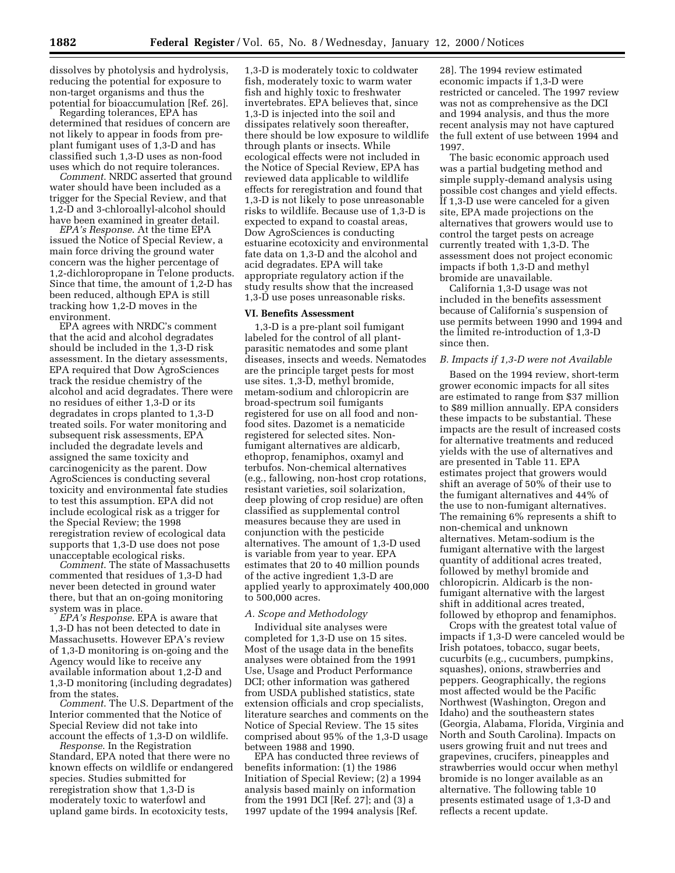dissolves by photolysis and hydrolysis, reducing the potential for exposure to non-target organisms and thus the potential for bioaccumulation [Ref. 26]. Regarding tolerances, EPA has

determined that residues of concern are not likely to appear in foods from preplant fumigant uses of 1,3-D and has classified such 1,3-D uses as non-food

uses which do not require tolerances. *Comment*. NRDC asserted that ground water should have been included as a trigger for the Special Review, and that 1,2-D and 3-chloroallyl-alcohol should have been examined in greater detail.

*EPA's Response*. At the time EPA issued the Notice of Special Review, a main force driving the ground water concern was the higher percentage of 1,2-dichloropropane in Telone products. Since that time, the amount of 1,2-D has been reduced, although EPA is still tracking how 1,2-D moves in the environment.

EPA agrees with NRDC's comment that the acid and alcohol degradates should be included in the 1,3-D risk assessment. In the dietary assessments, EPA required that Dow AgroSciences track the residue chemistry of the alcohol and acid degradates. There were no residues of either 1,3-D or its degradates in crops planted to 1,3-D treated soils. For water monitoring and subsequent risk assessments, EPA included the degradate levels and assigned the same toxicity and carcinogenicity as the parent. Dow AgroSciences is conducting several toxicity and environmental fate studies to test this assumption. EPA did not include ecological risk as a trigger for the Special Review; the 1998 reregistration review of ecological data supports that 1,3-D use does not pose unacceptable ecological risks. *Comment*. The state of Massachusetts

commented that residues of 1,3-D had never been detected in ground water there, but that an on-going monitoring

system was in place. *EPA's Response*. EPA is aware that 1,3-D has not been detected to date in Massachusetts. However EPA's review of 1,3-D monitoring is on-going and the Agency would like to receive any available information about 1,2-D and 1,3-D monitoring (including degradates) from the states.

*Comment*. The U.S. Department of the Interior commented that the Notice of Special Review did not take into account the effects of 1,3-D on wildlife.

*Response*. In the Registration Standard, EPA noted that there were no known effects on wildlife or endangered species. Studies submitted for reregistration show that 1,3-D is moderately toxic to waterfowl and upland game birds. In ecotoxicity tests,

1,3-D is moderately toxic to coldwater fish, moderately toxic to warm water fish and highly toxic to freshwater invertebrates. EPA believes that, since 1,3-D is injected into the soil and dissipates relatively soon thereafter, there should be low exposure to wildlife through plants or insects. While ecological effects were not included in the Notice of Special Review, EPA has reviewed data applicable to wildlife effects for reregistration and found that 1,3-D is not likely to pose unreasonable risks to wildlife. Because use of 1,3-D is expected to expand to coastal areas, Dow AgroSciences is conducting estuarine ecotoxicity and environmental fate data on 1,3-D and the alcohol and acid degradates. EPA will take appropriate regulatory action if the study results show that the increased 1,3-D use poses unreasonable risks.

### **VI. Benefits Assessment**

1,3-D is a pre-plant soil fumigant labeled for the control of all plantparasitic nematodes and some plant diseases, insects and weeds. Nematodes are the principle target pests for most use sites. 1,3-D, methyl bromide, metam-sodium and chloropicrin are broad-spectrum soil fumigants registered for use on all food and nonfood sites. Dazomet is a nematicide registered for selected sites. Nonfumigant alternatives are aldicarb, ethoprop, fenamiphos, oxamyl and terbufos. Non-chemical alternatives (e.g., fallowing, non-host crop rotations, resistant varieties, soil solarization, deep plowing of crop residue) are often classified as supplemental control measures because they are used in conjunction with the pesticide alternatives. The amount of 1,3-D used is variable from year to year. EPA estimates that 20 to 40 million pounds of the active ingredient 1,3-D are applied yearly to approximately 400,000 to 500,000 acres.

## *A. Scope and Methodology*

Individual site analyses were completed for 1,3-D use on 15 sites. Most of the usage data in the benefits analyses were obtained from the 1991 Use, Usage and Product Performance DCI; other information was gathered from USDA published statistics, state extension officials and crop specialists, literature searches and comments on the Notice of Special Review. The 15 sites comprised about 95% of the 1,3-D usage between 1988 and 1990.

EPA has conducted three reviews of benefits information: (1) the 1986 Initiation of Special Review; (2) a 1994 analysis based mainly on information from the 1991 DCI [Ref. 27]; and (3) a 1997 update of the 1994 analysis [Ref.

28]. The 1994 review estimated economic impacts if 1,3-D were restricted or canceled. The 1997 review was not as comprehensive as the DCI and 1994 analysis, and thus the more recent analysis may not have captured the full extent of use between 1994 and 1997.

The basic economic approach used was a partial budgeting method and simple supply-demand analysis using possible cost changes and yield effects. If 1,3-D use were canceled for a given site, EPA made projections on the alternatives that growers would use to control the target pests on acreage currently treated with 1,3-D. The assessment does not project economic impacts if both 1,3-D and methyl bromide are unavailable.

California 1,3-D usage was not included in the benefits assessment because of California's suspension of use permits between 1990 and 1994 and the limited re-introduction of 1,3-D since then.

### *B. Impacts if 1,3-D were not Available*

Based on the 1994 review, short-term grower economic impacts for all sites are estimated to range from \$37 million to \$89 million annually. EPA considers these impacts to be substantial. These impacts are the result of increased costs for alternative treatments and reduced yields with the use of alternatives and are presented in Table 11. EPA estimates project that growers would shift an average of 50% of their use to the fumigant alternatives and 44% of the use to non-fumigant alternatives. The remaining 6% represents a shift to non-chemical and unknown alternatives. Metam-sodium is the fumigant alternative with the largest quantity of additional acres treated, followed by methyl bromide and chloropicrin. Aldicarb is the nonfumigant alternative with the largest shift in additional acres treated, followed by ethoprop and fenamiphos.

Crops with the greatest total value of impacts if 1,3-D were canceled would be Irish potatoes, tobacco, sugar beets, cucurbits (e.g., cucumbers, pumpkins, squashes), onions, strawberries and peppers. Geographically, the regions most affected would be the Pacific Northwest (Washington, Oregon and Idaho) and the southeastern states (Georgia, Alabama, Florida, Virginia and North and South Carolina). Impacts on users growing fruit and nut trees and grapevines, crucifers, pineapples and strawberries would occur when methyl bromide is no longer available as an alternative. The following table 10 presents estimated usage of 1,3-D and reflects a recent update.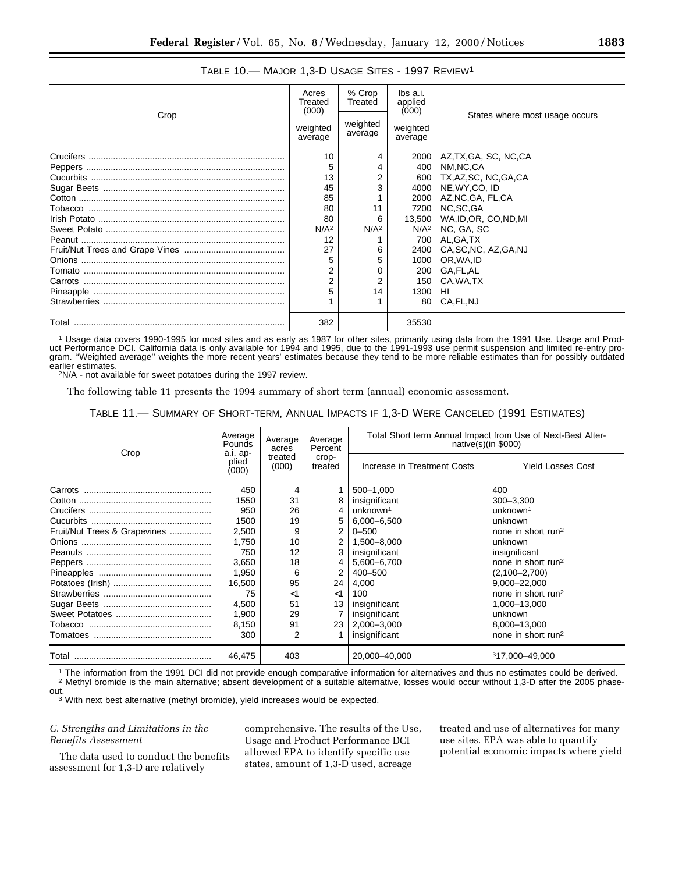| Crop | Acres<br>Treated<br>(000) | % Crop<br>Treated   | lbs a.i.<br>applied<br>(000) | States where most usage occurs |  |
|------|---------------------------|---------------------|------------------------------|--------------------------------|--|
|      | weighted<br>average       | weighted<br>average | weighted<br>average          |                                |  |
|      | 10                        |                     | 2000                         | AZ,TX,GA, SC, NC,CA            |  |
|      | 5                         | 4                   | 400                          | NM.NC.CA                       |  |
|      | 13                        | 2                   | 600                          | TX,AZ,SC, NC,GA,CA             |  |
|      | 45                        | 3                   | 4000                         | NE, WY, CO, ID                 |  |
|      | 85                        |                     | 2000                         | AZ,NC,GA, FL,CA                |  |
|      | 80                        | 11                  | 7200                         | NC.SC.GA                       |  |
|      | 80                        | 6                   | 13,500                       | WA, ID, OR, CO, ND, MI         |  |
|      | N/A <sup>2</sup>          | N/A <sup>2</sup>    | $N/A^2$                      | NC, GA, SC                     |  |
|      | 12                        |                     | 700                          | AL.GA.TX                       |  |
|      | 27                        | 6                   | 2400                         | CA, SC, NC, AZ, GA, NJ         |  |
|      | 5                         | 5                   | $1000$                       | OR, WA, ID                     |  |
|      |                           |                     | 200                          | GA,FL,AL                       |  |
|      | 2                         | 2                   | 150                          | CA, WA, TX                     |  |
|      | 5                         | 14                  | 1300                         | HI                             |  |
|      |                           |                     | 80                           | CA, FL, NJ                     |  |
|      | 382                       |                     | 35530                        |                                |  |

## TABLE 10.— MAJOR 1,3-D USAGE SITES - 1997 REVIEW1

1 Usage data covers 1990-1995 for most sites and as early as 1987 for other sites, primarily using data from the 1991 Use, Usage and Product Performance DCI. California data is only available for 1994 and 1995, due to the 1991-1993 use permit suspension and limited re-entry program. "Weighted average" weights the more recent years' estimates because they tend to be more reliable estimates than for possibly outdated<br>earlier estimates.

<sup>2</sup>N/A - not available for sweet potatoes during the 1997 review.

The following table 11 presents the 1994 summary of short term (annual) economic assessment.

TABLE 11.— SUMMARY OF SHORT-TERM, ANNUAL IMPACTS IF 1,3-D WERE CANCELED (1991 ESTIMATES)

| Crop                         | Average<br>Pounds<br>a.i. ap-<br>plied<br>(000) | Average<br>acres<br>treated<br>(000) | Average<br>Percent<br>crop-<br>treated | Total Short term Annual Impact from Use of Next-Best Alter-<br>native $(s)$ (in \$000) |                                |  |  |
|------------------------------|-------------------------------------------------|--------------------------------------|----------------------------------------|----------------------------------------------------------------------------------------|--------------------------------|--|--|
|                              |                                                 |                                      |                                        | Increase in Treatment Costs                                                            | <b>Yield Losses Cost</b>       |  |  |
|                              | 450                                             | 4                                    |                                        | 500-1,000                                                                              | 400                            |  |  |
|                              | 1550                                            | 31                                   |                                        | insignificant                                                                          | $300 - 3,300$                  |  |  |
|                              | 950                                             | 26                                   | 4                                      | unknown <sup>1</sup>                                                                   | unknown <sup>1</sup>           |  |  |
|                              | 1500                                            | 19                                   | 5                                      | 6,000-6,500                                                                            | unknown                        |  |  |
| Fruit/Nut Trees & Grapevines | 2,500                                           | 9                                    | 2                                      | $0 - 500$                                                                              | none in short run <sup>2</sup> |  |  |
|                              | 1.750                                           | 10                                   | 2                                      | 1,500-8,000                                                                            | unknown                        |  |  |
|                              | 750                                             | 12                                   | 3                                      | insignificant                                                                          | insignificant                  |  |  |
|                              | 3,650                                           | 18                                   | 4                                      | 5,600-6,700                                                                            | none in short run <sup>2</sup> |  |  |
|                              | 1.950                                           | 6                                    | $\overline{2}$                         | $400 - 500$                                                                            | $(2,100 - 2,700)$              |  |  |
|                              | 16,500                                          | 95                                   | 24                                     | 4,000                                                                                  | 9,000-22,000                   |  |  |
|                              | 75                                              | $<$ 1                                | $<$ 1                                  | 100                                                                                    | none in short run <sup>2</sup> |  |  |
|                              | 4,500                                           | 51                                   | 13                                     | insignificant                                                                          | 1,000-13,000                   |  |  |
|                              | 1,900                                           | 29                                   |                                        | insignificant                                                                          | unknown                        |  |  |
|                              | 8,150                                           | 91                                   | 23                                     | 2,000-3,000                                                                            | 8,000-13,000                   |  |  |
|                              | 300                                             | 2                                    |                                        | insignificant                                                                          | none in short run <sup>2</sup> |  |  |
|                              | 46.475                                          | 403                                  |                                        | 20.000-40.000                                                                          | <sup>3</sup> 17.000-49.000     |  |  |

<sup>1</sup> The information from the 1991 DCI did not provide enough comparative information for alternatives and thus no estimates could be derived.<br><sup>2</sup> Methyl bromide is the main alternative; absent development of a suitable alt

<sup>3</sup> With next best alternative (methyl bromide), yield increases would be expected.

## *C. Strengths and Limitations in the Benefits Assessment*

The data used to conduct the benefits assessment for 1,3-D are relatively

comprehensive. The results of the Use, Usage and Product Performance DCI allowed EPA to identify specific use states, amount of 1,3-D used, acreage

treated and use of alternatives for many use sites. EPA was able to quantify potential economic impacts where yield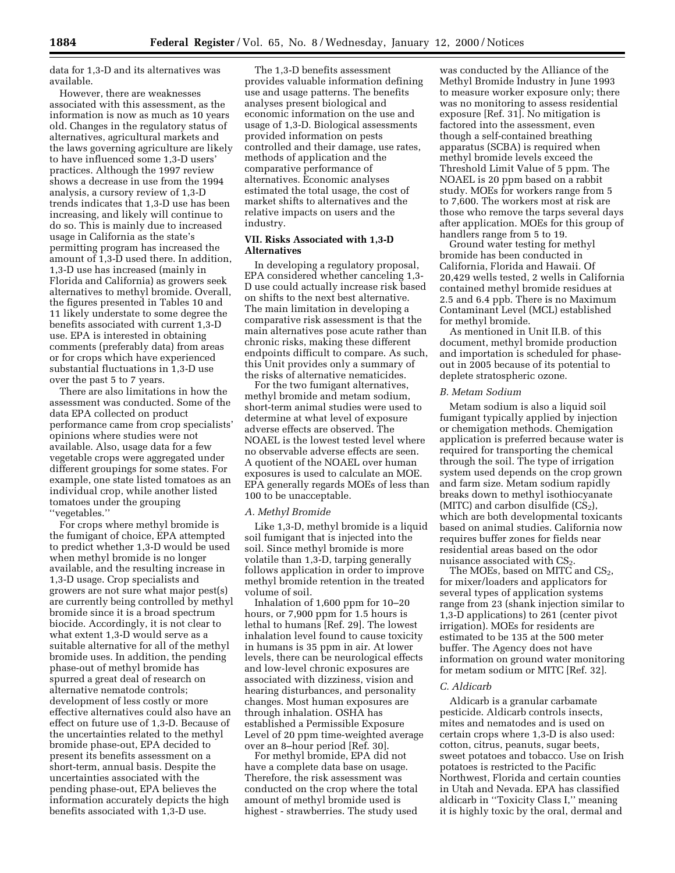data for 1,3-D and its alternatives was available.

However, there are weaknesses associated with this assessment, as the information is now as much as 10 years old. Changes in the regulatory status of alternatives, agricultural markets and the laws governing agriculture are likely to have influenced some 1,3-D users' practices. Although the 1997 review shows a decrease in use from the 1994 analysis, a cursory review of 1,3-D trends indicates that 1,3-D use has been increasing, and likely will continue to do so. This is mainly due to increased usage in California as the state's permitting program has increased the amount of 1,3-D used there. In addition, 1,3-D use has increased (mainly in Florida and California) as growers seek alternatives to methyl bromide. Overall, the figures presented in Tables 10 and 11 likely understate to some degree the benefits associated with current 1,3-D use. EPA is interested in obtaining comments (preferably data) from areas or for crops which have experienced substantial fluctuations in 1,3-D use over the past 5 to 7 years.

There are also limitations in how the assessment was conducted. Some of the data EPA collected on product performance came from crop specialists' opinions where studies were not available. Also, usage data for a few vegetable crops were aggregated under different groupings for some states. For example, one state listed tomatoes as an individual crop, while another listed tomatoes under the grouping ''vegetables.''

For crops where methyl bromide is the fumigant of choice, EPA attempted to predict whether 1,3-D would be used when methyl bromide is no longer available, and the resulting increase in 1,3-D usage. Crop specialists and growers are not sure what major pest(s) are currently being controlled by methyl bromide since it is a broad spectrum biocide. Accordingly, it is not clear to what extent 1,3-D would serve as a suitable alternative for all of the methyl bromide uses. In addition, the pending phase-out of methyl bromide has spurred a great deal of research on alternative nematode controls; development of less costly or more effective alternatives could also have an effect on future use of 1,3-D. Because of the uncertainties related to the methyl bromide phase-out, EPA decided to present its benefits assessment on a short-term, annual basis. Despite the uncertainties associated with the pending phase-out, EPA believes the information accurately depicts the high benefits associated with 1,3-D use.

The 1,3-D benefits assessment provides valuable information defining use and usage patterns. The benefits analyses present biological and economic information on the use and usage of 1,3-D. Biological assessments provided information on pests controlled and their damage, use rates, methods of application and the comparative performance of alternatives. Economic analyses estimated the total usage, the cost of market shifts to alternatives and the relative impacts on users and the industry.

## **VII. Risks Associated with 1,3-D Alternatives**

In developing a regulatory proposal, EPA considered whether canceling 1,3- D use could actually increase risk based on shifts to the next best alternative. The main limitation in developing a comparative risk assessment is that the main alternatives pose acute rather than chronic risks, making these different endpoints difficult to compare. As such, this Unit provides only a summary of the risks of alternative nematicides.

For the two fumigant alternatives, methyl bromide and metam sodium, short-term animal studies were used to determine at what level of exposure adverse effects are observed. The NOAEL is the lowest tested level where no observable adverse effects are seen. A quotient of the NOAEL over human exposures is used to calculate an MOE. EPA generally regards MOEs of less than 100 to be unacceptable.

### *A. Methyl Bromide*

Like 1,3-D, methyl bromide is a liquid soil fumigant that is injected into the soil. Since methyl bromide is more volatile than 1,3-D, tarping generally follows application in order to improve methyl bromide retention in the treated volume of soil.

Inhalation of 1,600 ppm for 10–20 hours, or 7,900 ppm for 1.5 hours is lethal to humans [Ref. 29]. The lowest inhalation level found to cause toxicity in humans is 35 ppm in air. At lower levels, there can be neurological effects and low-level chronic exposures are associated with dizziness, vision and hearing disturbances, and personality changes. Most human exposures are through inhalation. OSHA has established a Permissible Exposure Level of 20 ppm time-weighted average over an 8–hour period [Ref. 30].

For methyl bromide, EPA did not have a complete data base on usage. Therefore, the risk assessment was conducted on the crop where the total amount of methyl bromide used is highest - strawberries. The study used

was conducted by the Alliance of the Methyl Bromide Industry in June 1993 to measure worker exposure only; there was no monitoring to assess residential exposure [Ref. 31]. No mitigation is factored into the assessment, even though a self-contained breathing apparatus (SCBA) is required when methyl bromide levels exceed the Threshold Limit Value of 5 ppm. The NOAEL is 20 ppm based on a rabbit study. MOEs for workers range from 5 to 7,600. The workers most at risk are those who remove the tarps several days after application. MOEs for this group of handlers range from 5 to 19.

Ground water testing for methyl bromide has been conducted in California, Florida and Hawaii. Of 20,429 wells tested, 2 wells in California contained methyl bromide residues at 2.5 and 6.4 ppb. There is no Maximum Contaminant Level (MCL) established for methyl bromide.

As mentioned in Unit II.B. of this document, methyl bromide production and importation is scheduled for phaseout in 2005 because of its potential to deplete stratospheric ozone.

### *B. Metam Sodium*

Metam sodium is also a liquid soil fumigant typically applied by injection or chemigation methods. Chemigation application is preferred because water is required for transporting the chemical through the soil. The type of irrigation system used depends on the crop grown and farm size. Metam sodium rapidly breaks down to methyl isothiocyanate (MITC) and carbon disulfide  $(CS_2)$ , which are both developmental toxicants based on animal studies. California now requires buffer zones for fields near residential areas based on the odor nuisance associated with  $CS<sub>2</sub>$ .

The MOEs, based on MITC and  $CS_2$ , for mixer/loaders and applicators for several types of application systems range from 23 (shank injection similar to 1,3-D applications) to 261 (center pivot irrigation). MOEs for residents are estimated to be 135 at the 500 meter buffer. The Agency does not have information on ground water monitoring for metam sodium or MITC [Ref. 32].

## *C. Aldicarb*

Aldicarb is a granular carbamate pesticide. Aldicarb controls insects, mites and nematodes and is used on certain crops where 1,3-D is also used: cotton, citrus, peanuts, sugar beets, sweet potatoes and tobacco. Use on Irish potatoes is restricted to the Pacific Northwest, Florida and certain counties in Utah and Nevada. EPA has classified aldicarb in ''Toxicity Class I,'' meaning it is highly toxic by the oral, dermal and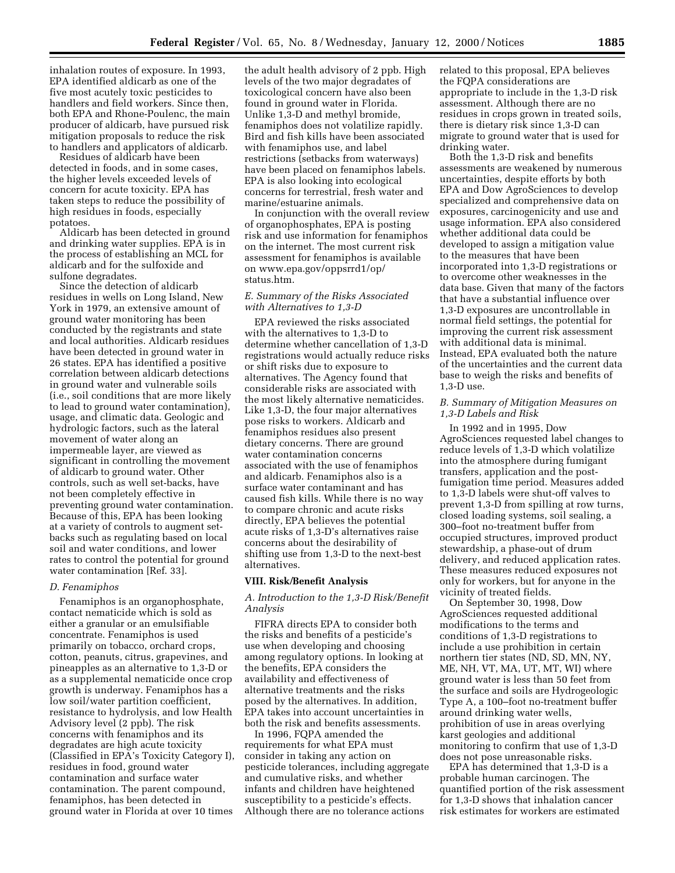inhalation routes of exposure. In 1993, EPA identified aldicarb as one of the five most acutely toxic pesticides to handlers and field workers. Since then, both EPA and Rhone-Poulenc, the main producer of aldicarb, have pursued risk mitigation proposals to reduce the risk to handlers and applicators of aldicarb.

Residues of aldicarb have been detected in foods, and in some cases, the higher levels exceeded levels of concern for acute toxicity. EPA has taken steps to reduce the possibility of high residues in foods, especially potatoes.

Aldicarb has been detected in ground and drinking water supplies. EPA is in the process of establishing an MCL for aldicarb and for the sulfoxide and sulfone degradates.

Since the detection of aldicarb residues in wells on Long Island, New York in 1979, an extensive amount of ground water monitoring has been conducted by the registrants and state and local authorities. Aldicarb residues have been detected in ground water in 26 states. EPA has identified a positive correlation between aldicarb detections in ground water and vulnerable soils (i.e., soil conditions that are more likely to lead to ground water contamination), usage, and climatic data. Geologic and hydrologic factors, such as the lateral movement of water along an impermeable layer, are viewed as significant in controlling the movement of aldicarb to ground water. Other controls, such as well set-backs, have not been completely effective in preventing ground water contamination. Because of this, EPA has been looking at a variety of controls to augment setbacks such as regulating based on local soil and water conditions, and lower rates to control the potential for ground water contamination [Ref. 33].

### *D. Fenamiphos*

Fenamiphos is an organophosphate, contact nematicide which is sold as either a granular or an emulsifiable concentrate. Fenamiphos is used primarily on tobacco, orchard crops, cotton, peanuts, citrus, grapevines, and pineapples as an alternative to 1,3-D or as a supplemental nematicide once crop growth is underway. Fenamiphos has a low soil/water partition coefficient, resistance to hydrolysis, and low Health Advisory level (2 ppb). The risk concerns with fenamiphos and its degradates are high acute toxicity (Classified in EPA's Toxicity Category I), residues in food, ground water contamination and surface water contamination. The parent compound, fenamiphos, has been detected in ground water in Florida at over 10 times

the adult health advisory of 2 ppb. High levels of the two major degradates of toxicological concern have also been found in ground water in Florida. Unlike 1,3-D and methyl bromide, fenamiphos does not volatilize rapidly. Bird and fish kills have been associated with fenamiphos use, and label restrictions (setbacks from waterways) have been placed on fenamiphos labels. EPA is also looking into ecological concerns for terrestrial, fresh water and marine/estuarine animals.

In conjunction with the overall review of organophosphates, EPA is posting risk and use information for fenamiphos on the internet. The most current risk assessment for fenamiphos is available on www.epa.gov/oppsrrd1/op/ status.htm.

## *E. Summary of the Risks Associated with Alternatives to 1,3-D*

EPA reviewed the risks associated with the alternatives to 1,3-D to determine whether cancellation of 1,3-D registrations would actually reduce risks or shift risks due to exposure to alternatives. The Agency found that considerable risks are associated with the most likely alternative nematicides. Like 1,3-D, the four major alternatives pose risks to workers. Aldicarb and fenamiphos residues also present dietary concerns. There are ground water contamination concerns associated with the use of fenamiphos and aldicarb. Fenamiphos also is a surface water contaminant and has caused fish kills. While there is no way to compare chronic and acute risks directly, EPA believes the potential acute risks of 1,3-D's alternatives raise concerns about the desirability of shifting use from 1,3-D to the next-best alternatives.

### **VIII. Risk/Benefit Analysis**

## *A. Introduction to the 1,3-D Risk/Benefit Analysis*

FIFRA directs EPA to consider both the risks and benefits of a pesticide's use when developing and choosing among regulatory options. In looking at the benefits, EPA considers the availability and effectiveness of alternative treatments and the risks posed by the alternatives. In addition, EPA takes into account uncertainties in both the risk and benefits assessments.

In 1996, FQPA amended the requirements for what EPA must consider in taking any action on pesticide tolerances, including aggregate and cumulative risks, and whether infants and children have heightened susceptibility to a pesticide's effects. Although there are no tolerance actions

related to this proposal, EPA believes the FQPA considerations are appropriate to include in the 1,3-D risk assessment. Although there are no residues in crops grown in treated soils, there is dietary risk since 1,3-D can migrate to ground water that is used for drinking water.

Both the 1,3-D risk and benefits assessments are weakened by numerous uncertainties, despite efforts by both EPA and Dow AgroSciences to develop specialized and comprehensive data on exposures, carcinogenicity and use and usage information. EPA also considered whether additional data could be developed to assign a mitigation value to the measures that have been incorporated into 1,3-D registrations or to overcome other weaknesses in the data base. Given that many of the factors that have a substantial influence over 1,3-D exposures are uncontrollable in normal field settings, the potential for improving the current risk assessment with additional data is minimal. Instead, EPA evaluated both the nature of the uncertainties and the current data base to weigh the risks and benefits of 1,3-D use.

## *B. Summary of Mitigation Measures on 1,3-D Labels and Risk*

In 1992 and in 1995, Dow AgroSciences requested label changes to reduce levels of 1,3-D which volatilize into the atmosphere during fumigant transfers, application and the postfumigation time period. Measures added to 1,3-D labels were shut-off valves to prevent 1,3-D from spilling at row turns, closed loading systems, soil sealing, a 300–foot no-treatment buffer from occupied structures, improved product stewardship, a phase-out of drum delivery, and reduced application rates. These measures reduced exposures not only for workers, but for anyone in the vicinity of treated fields.

On September 30, 1998, Dow AgroSciences requested additional modifications to the terms and conditions of 1,3-D registrations to include a use prohibition in certain northern tier states (ND, SD, MN, NY, ME, NH, VT, MA, UT, MT, WI) where ground water is less than 50 feet from the surface and soils are Hydrogeologic Type A, a 100–foot no-treatment buffer around drinking water wells, prohibition of use in areas overlying karst geologies and additional monitoring to confirm that use of 1,3-D does not pose unreasonable risks.

EPA has determined that 1,3-D is a probable human carcinogen. The quantified portion of the risk assessment for 1,3-D shows that inhalation cancer risk estimates for workers are estimated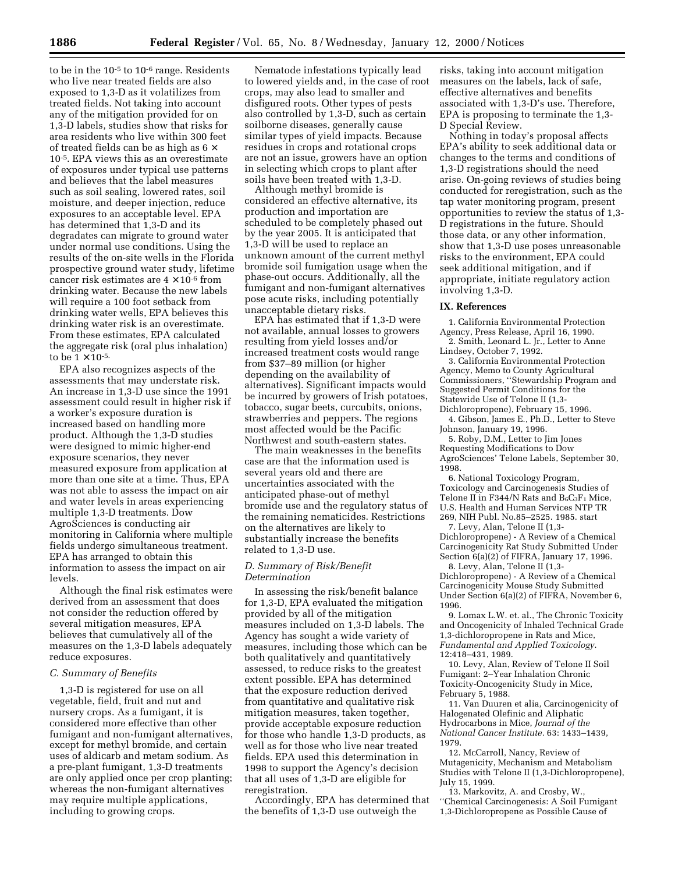to be in the 10-5 to 10-6 range. Residents who live near treated fields are also exposed to 1,3-D as it volatilizes from treated fields. Not taking into account any of the mitigation provided for on 1,3-D labels, studies show that risks for area residents who live within 300 feet of treated fields can be as high as  $6 \times$ 10-5. EPA views this as an overestimate of exposures under typical use patterns and believes that the label measures such as soil sealing, lowered rates, soil moisture, and deeper injection, reduce exposures to an acceptable level. EPA has determined that 1,3-D and its degradates can migrate to ground water under normal use conditions. Using the results of the on-site wells in the Florida prospective ground water study, lifetime cancer risk estimates are  $4 \times 10^{-6}$  from drinking water. Because the new labels will require a 100 foot setback from drinking water wells, EPA believes this drinking water risk is an overestimate. From these estimates, EPA calculated the aggregate risk (oral plus inhalation) to be  $1 \times 10^{-5}$ .

EPA also recognizes aspects of the assessments that may understate risk. An increase in 1,3-D use since the 1991 assessment could result in higher risk if a worker's exposure duration is increased based on handling more product. Although the 1,3-D studies were designed to mimic higher-end exposure scenarios, they never measured exposure from application at more than one site at a time. Thus, EPA was not able to assess the impact on air and water levels in areas experiencing multiple 1,3-D treatments. Dow AgroSciences is conducting air monitoring in California where multiple fields undergo simultaneous treatment. EPA has arranged to obtain this information to assess the impact on air levels.

Although the final risk estimates were derived from an assessment that does not consider the reduction offered by several mitigation measures, EPA believes that cumulatively all of the measures on the 1,3-D labels adequately reduce exposures.

### *C. Summary of Benefits*

1,3-D is registered for use on all vegetable, field, fruit and nut and nursery crops. As a fumigant, it is considered more effective than other fumigant and non-fumigant alternatives, except for methyl bromide, and certain uses of aldicarb and metam sodium. As a pre-plant fumigant, 1,3-D treatments are only applied once per crop planting; whereas the non-fumigant alternatives may require multiple applications, including to growing crops.

Nematode infestations typically lead to lowered yields and, in the case of root crops, may also lead to smaller and disfigured roots. Other types of pests also controlled by 1,3-D, such as certain soilborne diseases, generally cause similar types of yield impacts. Because residues in crops and rotational crops are not an issue, growers have an option in selecting which crops to plant after soils have been treated with 1,3-D.

Although methyl bromide is considered an effective alternative, its production and importation are scheduled to be completely phased out by the year 2005. It is anticipated that 1,3-D will be used to replace an unknown amount of the current methyl bromide soil fumigation usage when the phase-out occurs. Additionally, all the fumigant and non-fumigant alternatives pose acute risks, including potentially unacceptable dietary risks.

EPA has estimated that if 1,3-D were not available, annual losses to growers resulting from yield losses and/or increased treatment costs would range from \$37–89 million (or higher depending on the availability of alternatives). Significant impacts would be incurred by growers of Irish potatoes, tobacco, sugar beets, curcubits, onions, strawberries and peppers. The regions most affected would be the Pacific Northwest and south-eastern states.

The main weaknesses in the benefits case are that the information used is several years old and there are uncertainties associated with the anticipated phase-out of methyl bromide use and the regulatory status of the remaining nematicides. Restrictions on the alternatives are likely to substantially increase the benefits related to 1,3-D use.

### *D. Summary of Risk/Benefit Determination*

In assessing the risk/benefit balance for 1,3-D, EPA evaluated the mitigation provided by all of the mitigation measures included on 1,3-D labels. The Agency has sought a wide variety of measures, including those which can be both qualitatively and quantitatively assessed, to reduce risks to the greatest extent possible. EPA has determined that the exposure reduction derived from quantitative and qualitative risk mitigation measures, taken together, provide acceptable exposure reduction for those who handle 1,3-D products, as well as for those who live near treated fields. EPA used this determination in 1998 to support the Agency's decision that all uses of 1,3-D are eligible for reregistration.

Accordingly, EPA has determined that the benefits of 1,3-D use outweigh the

risks, taking into account mitigation measures on the labels, lack of safe, effective alternatives and benefits associated with 1,3-D's use. Therefore, EPA is proposing to terminate the 1,3- D Special Review.

Nothing in today's proposal affects EPA's ability to seek additional data or changes to the terms and conditions of 1,3-D registrations should the need arise. On-going reviews of studies being conducted for reregistration, such as the tap water monitoring program, present opportunities to review the status of 1,3- D registrations in the future. Should those data, or any other information, show that 1,3-D use poses unreasonable risks to the environment, EPA could seek additional mitigation, and if appropriate, initiate regulatory action involving 1,3-D.

### **IX. References**

1. California Environmental Protection Agency, Press Release, April 16, 1990.

2. Smith, Leonard L. Jr., Letter to Anne Lindsey, October 7, 1992.

3. California Environmental Protection Agency, Memo to County Agricultural Commissioners, ''Stewardship Program and Suggested Permit Conditions for the Statewide Use of Telone II (1,3-

Dichloropropene), February 15, 1996. 4. Gibson, James E., Ph.D., Letter to Steve Johnson, January 19, 1996.

5. Roby, D.M., Letter to Jim Jones Requesting Modifications to Dow AgroSciences' Telone Labels, September 30, 1998.

6. National Toxicology Program, Toxicology and Carcinogenesis Studies of Telone II in F344/N Rats and  $B_6C_3F_1$  Mice, U.S. Health and Human Services NTP TR 269, NIH Publ. No.85–2525. 1985. start

7. Levy, Alan, Telone II (1,3- Dichloropropene) - A Review of a Chemical Carcinogenicity Rat Study Submitted Under Section  $6(a)(2)$  of FIFRA, January 17, 1996.

8. Levy, Alan, Telone II (1,3- Dichloropropene) - A Review of a Chemical Carcinogenicity Mouse Study Submitted Under Section 6(a)(2) of FIFRA, November 6, 1996.

9. Lomax L.W. et. al., The Chronic Toxicity and Oncogenicity of Inhaled Technical Grade 1,3-dichloropropene in Rats and Mice, *Fundamental and Applied Toxicology*. 12:418–431, 1989.

10. Levy, Alan, Review of Telone II Soil Fumigant: 2–Year Inhalation Chronic Toxicity-Oncogenicity Study in Mice, February 5, 1988.

11. Van Duuren et alia, Carcinogenicity of Halogenated Olefinic and Aliphatic Hydrocarbons in Mice, *Journal of the National Cancer Institute.* 63: 1433–1439, 1979.

12. McCarroll, Nancy, Review of Mutagenicity, Mechanism and Metabolism Studies with Telone II (1,3-Dichloropropene), July 15, 1999.

13. Markovitz, A. and Crosby, W., ''Chemical Carcinogenesis: A Soil Fumigant 1,3-Dichloropropene as Possible Cause of